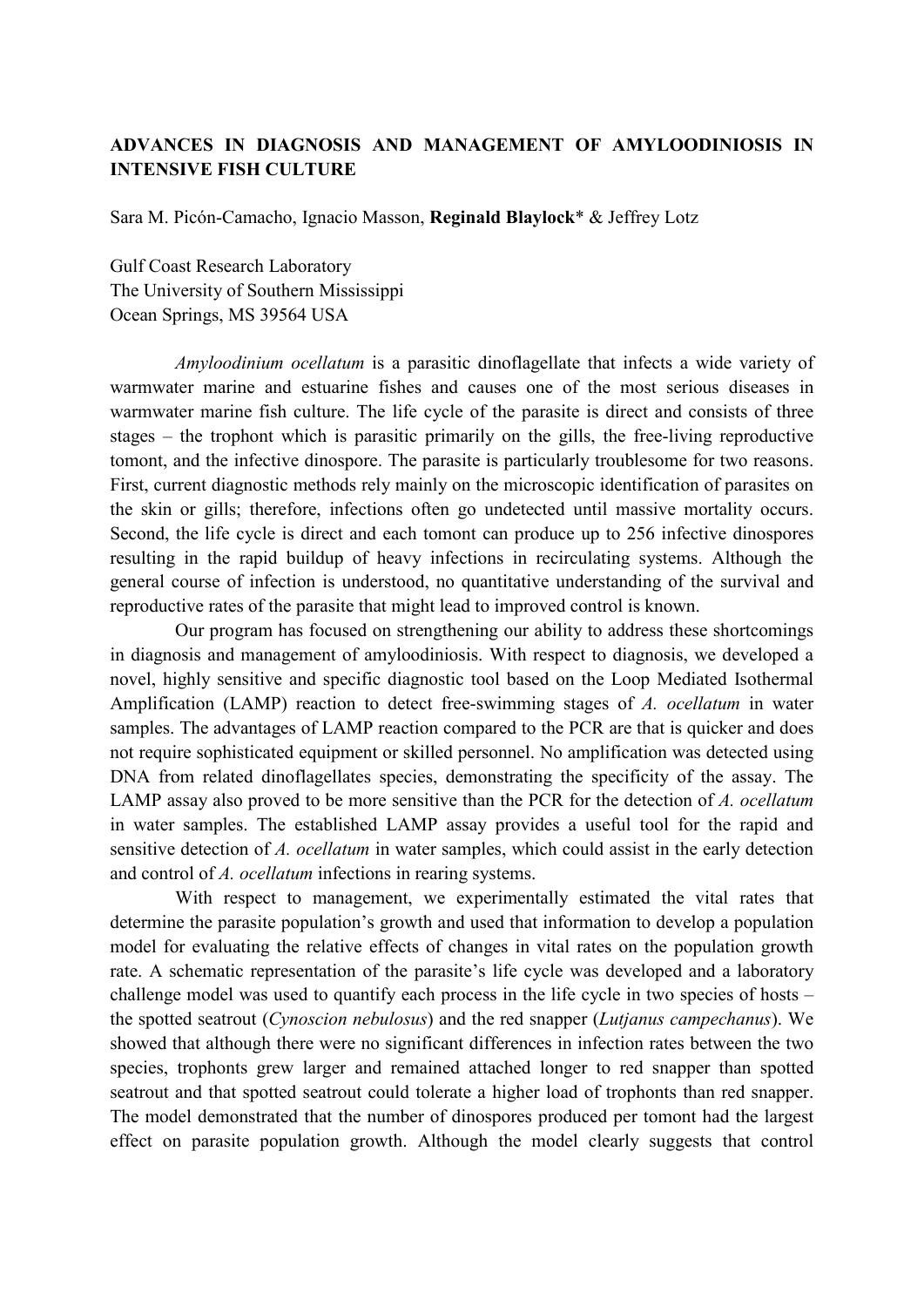## **ADVANCES IN DIAGNOSIS AND MANAGEMENT OF AMYLOODINIOSIS IN INTENSIVE FISH CULTURE**

Sara M. Picón-Camacho, Ignacio Masson, **Reginald Blaylock**\* & Jeffrey Lotz

Gulf Coast Research Laboratory The University of Southern Mississippi Ocean Springs, MS 39564 USA

*Amyloodinium ocellatum* is a parasitic dinoflagellate that infects a wide variety of warmwater marine and estuarine fishes and causes one of the most serious diseases in warmwater marine fish culture. The life cycle of the parasite is direct and consists of three stages – the trophont which is parasitic primarily on the gills, the free-living reproductive tomont, and the infective dinospore. The parasite is particularly troublesome for two reasons. First, current diagnostic methods rely mainly on the microscopic identification of parasites on the skin or gills; therefore, infections often go undetected until massive mortality occurs. Second, the life cycle is direct and each tomont can produce up to 256 infective dinospores resulting in the rapid buildup of heavy infections in recirculating systems. Although the general course of infection is understood, no quantitative understanding of the survival and reproductive rates of the parasite that might lead to improved control is known.

Our program has focused on strengthening our ability to address these shortcomings in diagnosis and management of amyloodiniosis. With respect to diagnosis, we developed a novel, highly sensitive and specific diagnostic tool based on the Loop Mediated Isothermal Amplification (LAMP) reaction to detect free-swimming stages of *A. ocellatum* in water samples. The advantages of LAMP reaction compared to the PCR are that is quicker and does not require sophisticated equipment or skilled personnel. No amplification was detected using DNA from related dinoflagellates species, demonstrating the specificity of the assay. The LAMP assay also proved to be more sensitive than the PCR for the detection of *A. ocellatum*  in water samples. The established LAMP assay provides a useful tool for the rapid and sensitive detection of *A. ocellatum* in water samples, which could assist in the early detection and control of *A. ocellatum* infections in rearing systems.

With respect to management, we experimentally estimated the vital rates that determine the parasite population's growth and used that information to develop a population model for evaluating the relative effects of changes in vital rates on the population growth rate. A schematic representation of the parasite's life cycle was developed and a laboratory challenge model was used to quantify each process in the life cycle in two species of hosts – the spotted seatrout (*Cynoscion nebulosus*) and the red snapper (*Lutjanus campechanus*). We showed that although there were no significant differences in infection rates between the two species, trophonts grew larger and remained attached longer to red snapper than spotted seatrout and that spotted seatrout could tolerate a higher load of trophonts than red snapper. The model demonstrated that the number of dinospores produced per tomont had the largest effect on parasite population growth. Although the model clearly suggests that control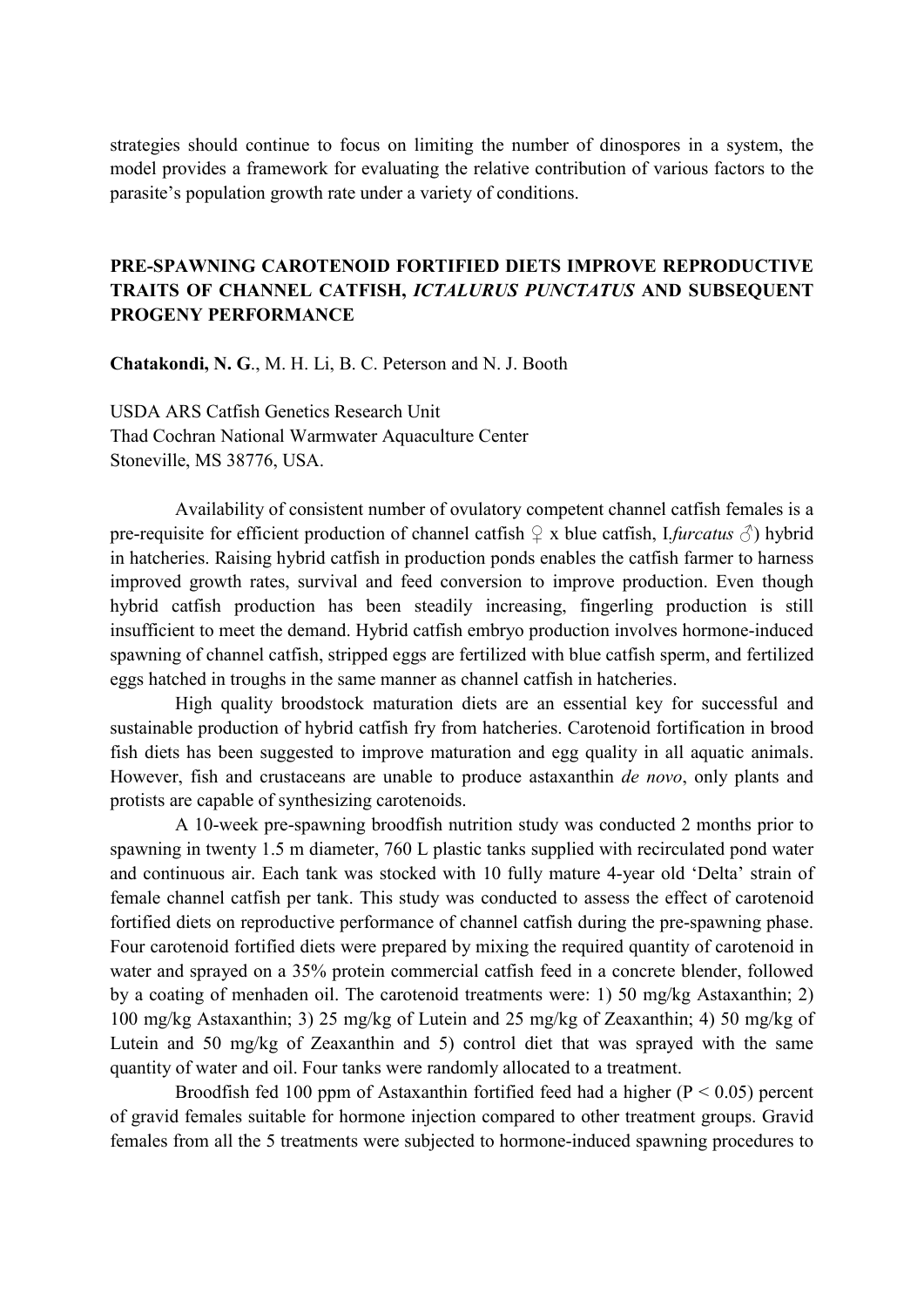strategies should continue to focus on limiting the number of dinospores in a system, the model provides a framework for evaluating the relative contribution of various factors to the parasite's population growth rate under a variety of conditions.

# **PRE-SPAWNING CAROTENOID FORTIFIED DIETS IMPROVE REPRODUCTIVE TRAITS OF CHANNEL CATFISH,** *ICTALURUS PUNCTATUS* **AND SUBSEQUENT PROGENY PERFORMANCE**

**Chatakondi, N. G**., M. H. Li, B. C. Peterson and N. J. Booth

USDA ARS Catfish Genetics Research Unit Thad Cochran National Warmwater Aquaculture Center Stoneville, MS 38776, USA.

Availability of consistent number of ovulatory competent channel catfish females is a pre-requisite for efficient production of channel catfish  $\varphi$  x blue catfish, I*furcatus*  $\varphi$ ) hybrid in hatcheries. Raising hybrid catfish in production ponds enables the catfish farmer to harness improved growth rates, survival and feed conversion to improve production. Even though hybrid catfish production has been steadily increasing, fingerling production is still insufficient to meet the demand. Hybrid catfish embryo production involves hormone-induced spawning of channel catfish, stripped eggs are fertilized with blue catfish sperm, and fertilized eggs hatched in troughs in the same manner as channel catfish in hatcheries.

High quality broodstock maturation diets are an essential key for successful and sustainable production of hybrid catfish fry from hatcheries. Carotenoid fortification in brood fish diets has been suggested to improve maturation and egg quality in all aquatic animals. However, fish and crustaceans are unable to produce astaxanthin *de novo*, only plants and protists are capable of synthesizing carotenoids.

A 10-week pre-spawning broodfish nutrition study was conducted 2 months prior to spawning in twenty 1.5 m diameter, 760 L plastic tanks supplied with recirculated pond water and continuous air. Each tank was stocked with 10 fully mature 4-year old 'Delta' strain of female channel catfish per tank. This study was conducted to assess the effect of carotenoid fortified diets on reproductive performance of channel catfish during the pre-spawning phase. Four carotenoid fortified diets were prepared by mixing the required quantity of carotenoid in water and sprayed on a 35% protein commercial catfish feed in a concrete blender, followed by a coating of menhaden oil. The carotenoid treatments were: 1) 50 mg/kg Astaxanthin; 2) 100 mg/kg Astaxanthin; 3) 25 mg/kg of Lutein and 25 mg/kg of Zeaxanthin; 4) 50 mg/kg of Lutein and 50 mg/kg of Zeaxanthin and 5) control diet that was sprayed with the same quantity of water and oil. Four tanks were randomly allocated to a treatment.

Broodfish fed 100 ppm of Astaxanthin fortified feed had a higher ( $P < 0.05$ ) percent of gravid females suitable for hormone injection compared to other treatment groups. Gravid females from all the 5 treatments were subjected to hormone-induced spawning procedures to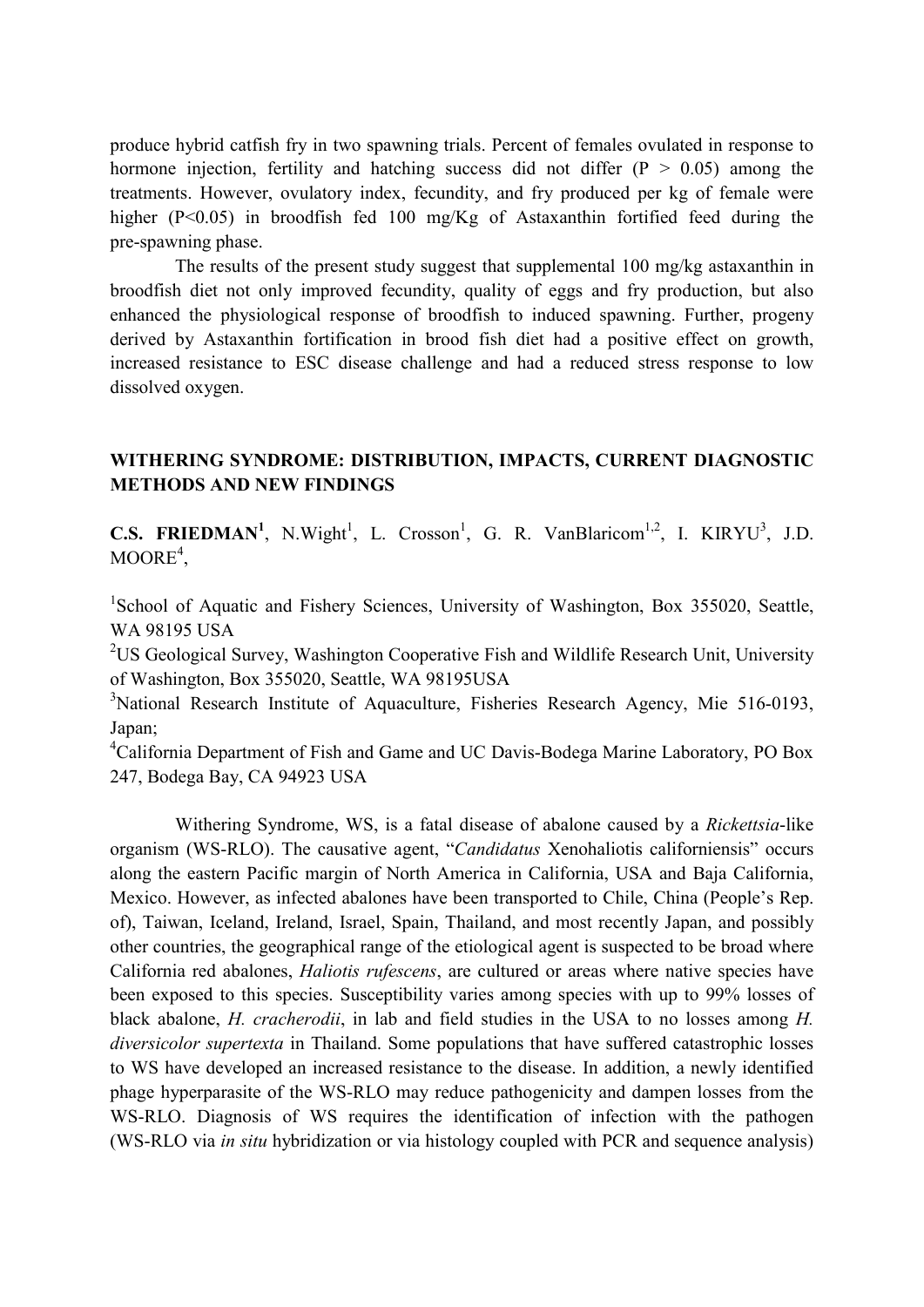produce hybrid catfish fry in two spawning trials. Percent of females ovulated in response to hormone injection, fertility and hatching success did not differ  $(P > 0.05)$  among the treatments. However, ovulatory index, fecundity, and fry produced per kg of female were higher (P<0.05) in broodfish fed 100 mg/Kg of Astaxanthin fortified feed during the pre-spawning phase.

The results of the present study suggest that supplemental 100 mg/kg astaxanthin in broodfish diet not only improved fecundity, quality of eggs and fry production, but also enhanced the physiological response of broodfish to induced spawning. Further, progeny derived by Astaxanthin fortification in brood fish diet had a positive effect on growth, increased resistance to ESC disease challenge and had a reduced stress response to low dissolved oxygen.

## **WITHERING SYNDROME: DISTRIBUTION, IMPACTS, CURRENT DIAGNOSTIC METHODS AND NEW FINDINGS**

**C.S. FRIEDMAN<sup>1</sup>**, N.Wight<sup>1</sup>, L. Crosson<sup>1</sup>, G. R. VanBlaricom<sup>1,2</sup>, I. KIRYU<sup>3</sup>, J.D.  $MOORE<sup>4</sup>$ ,

<sup>1</sup>School of Aquatic and Fishery Sciences, University of Washington, Box 355020, Seattle, WA 98195 USA

<sup>2</sup>US Geological Survey, Washington Cooperative Fish and Wildlife Research Unit, University of Washington, Box 355020, Seattle, WA 98195USA

<sup>3</sup>National Research Institute of Aquaculture, Fisheries Research Agency, Mie 516-0193, Japan;

<sup>4</sup>California Department of Fish and Game and UC Davis-Bodega Marine Laboratory, PO Box 247, Bodega Bay, CA 94923 USA

Withering Syndrome, WS, is a fatal disease of abalone caused by a *Rickettsia*-like organism (WS-RLO). The causative agent, "*Candidatus* Xenohaliotis californiensis" occurs along the eastern Pacific margin of North America in California, USA and Baja California, Mexico. However, as infected abalones have been transported to Chile, China (People's Rep. of), Taiwan, Iceland, Ireland, Israel, Spain, Thailand, and most recently Japan, and possibly other countries, the geographical range of the etiological agent is suspected to be broad where California red abalones, *Haliotis rufescens*, are cultured or areas where native species have been exposed to this species. Susceptibility varies among species with up to 99% losses of black abalone, *H. cracherodii*, in lab and field studies in the USA to no losses among *H. diversicolor supertexta* in Thailand. Some populations that have suffered catastrophic losses to WS have developed an increased resistance to the disease. In addition, a newly identified phage hyperparasite of the WS-RLO may reduce pathogenicity and dampen losses from the WS-RLO. Diagnosis of WS requires the identification of infection with the pathogen (WS-RLO via *in situ* hybridization or via histology coupled with PCR and sequence analysis)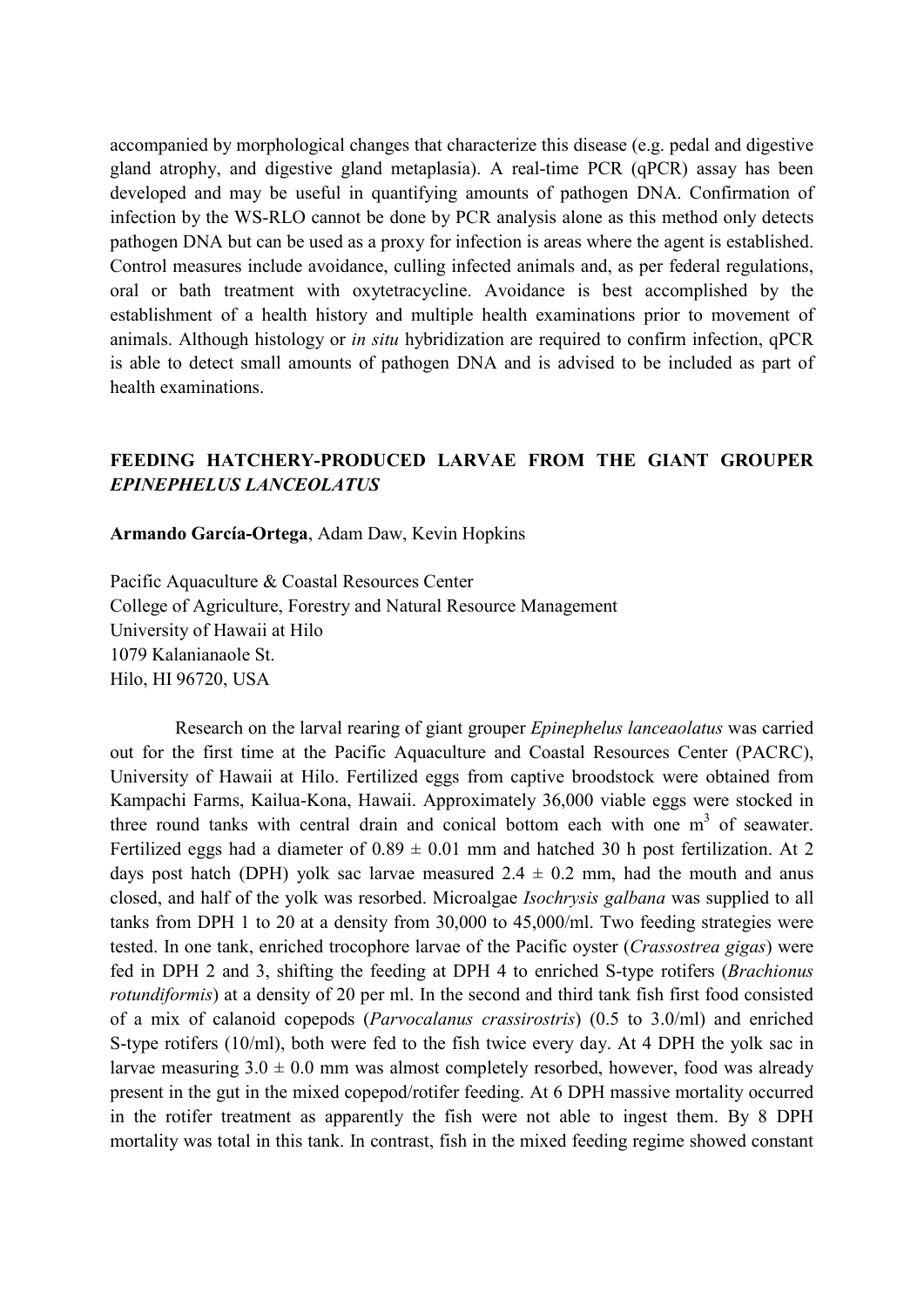accompanied by morphological changes that characterize this disease (e.g. pedal and digestive gland atrophy, and digestive gland metaplasia). A real-time PCR (qPCR) assay has been developed and may be useful in quantifying amounts of pathogen DNA. Confirmation of infection by the WS-RLO cannot be done by PCR analysis alone as this method only detects pathogen DNA but can be used as a proxy for infection is areas where the agent is established. Control measures include avoidance, culling infected animals and, as per federal regulations, oral or bath treatment with oxytetracycline. Avoidance is best accomplished by the establishment of a health history and multiple health examinations prior to movement of animals. Although histology or *in situ* hybridization are required to confirm infection, qPCR is able to detect small amounts of pathogen DNA and is advised to be included as part of health examinations.

# **FEEDING HATCHERY-PRODUCED LARVAE FROM THE GIANT GROUPER**  *EPINEPHELUS LANCEOLATUS*

**Armando García-Ortega**, Adam Daw, Kevin Hopkins

Pacific Aquaculture & Coastal Resources Center College of Agriculture, Forestry and Natural Resource Management University of Hawaii at Hilo 1079 Kalanianaole St. Hilo, HI 96720, USA

Research on the larval rearing of giant grouper *Epinephelus lanceaolatus* was carried out for the first time at the Pacific Aquaculture and Coastal Resources Center (PACRC), University of Hawaii at Hilo. Fertilized eggs from captive broodstock were obtained from Kampachi Farms, Kailua-Kona, Hawaii. Approximately 36,000 viable eggs were stocked in three round tanks with central drain and conical bottom each with one  $m<sup>3</sup>$  of seawater. Fertilized eggs had a diameter of  $0.89 \pm 0.01$  mm and hatched 30 h post fertilization. At 2 days post hatch (DPH) yolk sac larvae measured  $2.4 \pm 0.2$  mm, had the mouth and anus closed, and half of the yolk was resorbed. Microalgae *Isochrysis galbana* was supplied to all tanks from DPH 1 to 20 at a density from 30,000 to 45,000/ml. Two feeding strategies were tested. In one tank, enriched trocophore larvae of the Pacific oyster (*Crassostrea gigas*) were fed in DPH 2 and 3, shifting the feeding at DPH 4 to enriched S-type rotifers (*Brachionus rotundiformis*) at a density of 20 per ml. In the second and third tank fish first food consisted of a mix of calanoid copepods (*Parvocalanus crassirostris*) (0.5 to 3.0/ml) and enriched S-type rotifers (10/ml), both were fed to the fish twice every day. At 4 DPH the yolk sac in larvae measuring  $3.0 \pm 0.0$  mm was almost completely resorbed, however, food was already present in the gut in the mixed copepod/rotifer feeding. At 6 DPH massive mortality occurred in the rotifer treatment as apparently the fish were not able to ingest them. By 8 DPH mortality was total in this tank. In contrast, fish in the mixed feeding regime showed constant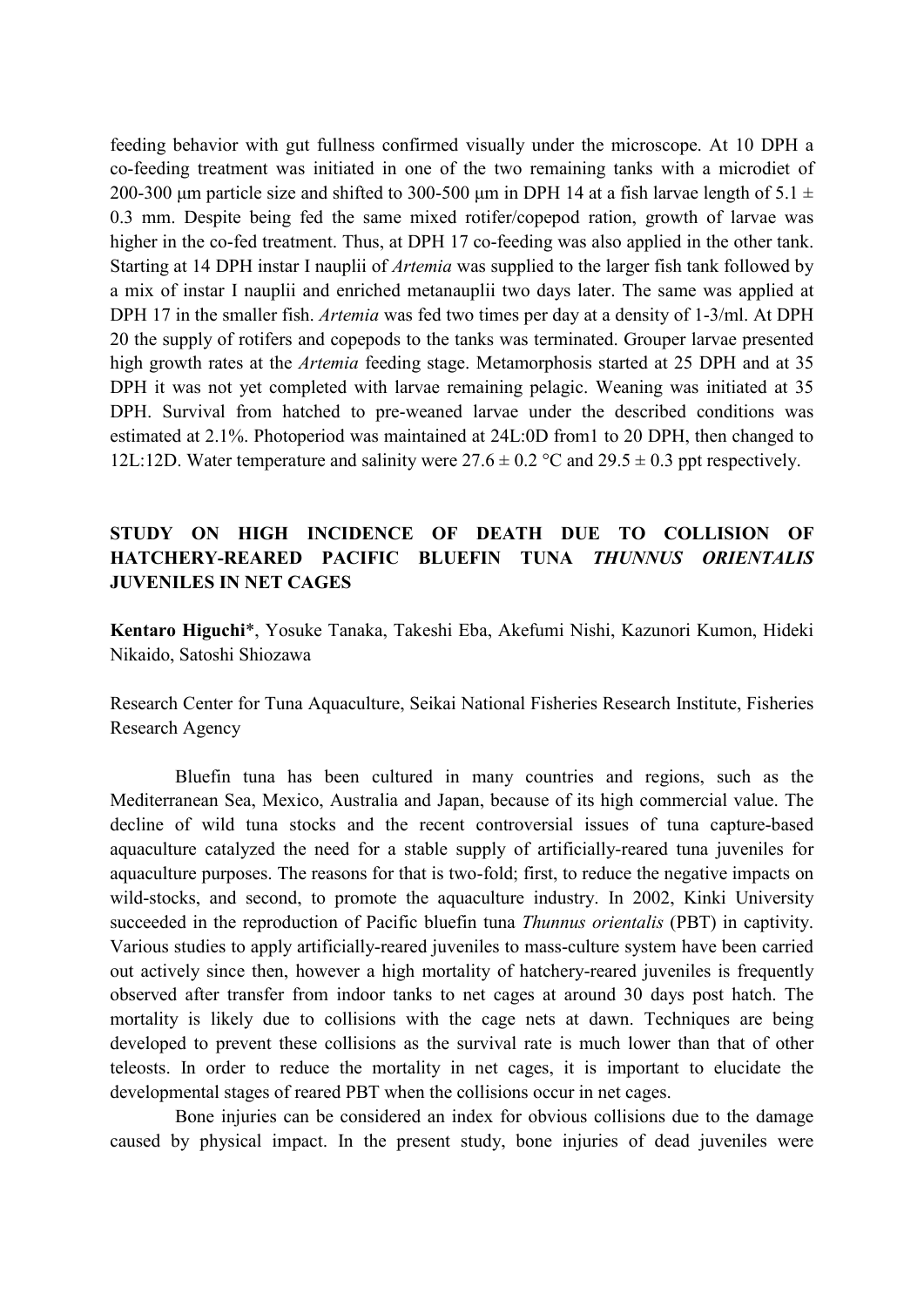feeding behavior with gut fullness confirmed visually under the microscope. At 10 DPH a co-feeding treatment was initiated in one of the two remaining tanks with a microdiet of 200-300 µm particle size and shifted to 300-500 µm in DPH 14 at a fish larvae length of 5.1  $\pm$ 0.3 mm. Despite being fed the same mixed rotifer/copepod ration, growth of larvae was higher in the co-fed treatment. Thus, at DPH 17 co-feeding was also applied in the other tank. Starting at 14 DPH instar I nauplii of *Artemia* was supplied to the larger fish tank followed by a mix of instar I nauplii and enriched metanauplii two days later. The same was applied at DPH 17 in the smaller fish. *Artemia* was fed two times per day at a density of 1-3/ml. At DPH 20 the supply of rotifers and copepods to the tanks was terminated. Grouper larvae presented high growth rates at the *Artemia* feeding stage. Metamorphosis started at 25 DPH and at 35 DPH it was not yet completed with larvae remaining pelagic. Weaning was initiated at 35 DPH. Survival from hatched to pre-weaned larvae under the described conditions was estimated at 2.1%. Photoperiod was maintained at 24L:0D from1 to 20 DPH, then changed to 12L:12D. Water temperature and salinity were  $27.6 \pm 0.2$  °C and  $29.5 \pm 0.3$  ppt respectively.

# **STUDY ON HIGH INCIDENCE OF DEATH DUE TO COLLISION OF HATCHERY-REARED PACIFIC BLUEFIN TUNA** *THUNNUS ORIENTALIS*  **JUVENILES IN NET CAGES**

**Kentaro Higuchi**\*, Yosuke Tanaka, Takeshi Eba, Akefumi Nishi, Kazunori Kumon, Hideki Nikaido, Satoshi Shiozawa

Research Center for Tuna Aquaculture, Seikai National Fisheries Research Institute, Fisheries Research Agency

Bluefin tuna has been cultured in many countries and regions, such as the Mediterranean Sea, Mexico, Australia and Japan, because of its high commercial value. The decline of wild tuna stocks and the recent controversial issues of tuna capture-based aquaculture catalyzed the need for a stable supply of artificially-reared tuna juveniles for aquaculture purposes. The reasons for that is two-fold; first, to reduce the negative impacts on wild-stocks, and second, to promote the aquaculture industry. In 2002, Kinki University succeeded in the reproduction of Pacific bluefin tuna *Thunnus orientalis* (PBT) in captivity. Various studies to apply artificially-reared juveniles to mass-culture system have been carried out actively since then, however a high mortality of hatchery-reared juveniles is frequently observed after transfer from indoor tanks to net cages at around 30 days post hatch. The mortality is likely due to collisions with the cage nets at dawn. Techniques are being developed to prevent these collisions as the survival rate is much lower than that of other teleosts. In order to reduce the mortality in net cages, it is important to elucidate the developmental stages of reared PBT when the collisions occur in net cages.

Bone injuries can be considered an index for obvious collisions due to the damage caused by physical impact. In the present study, bone injuries of dead juveniles were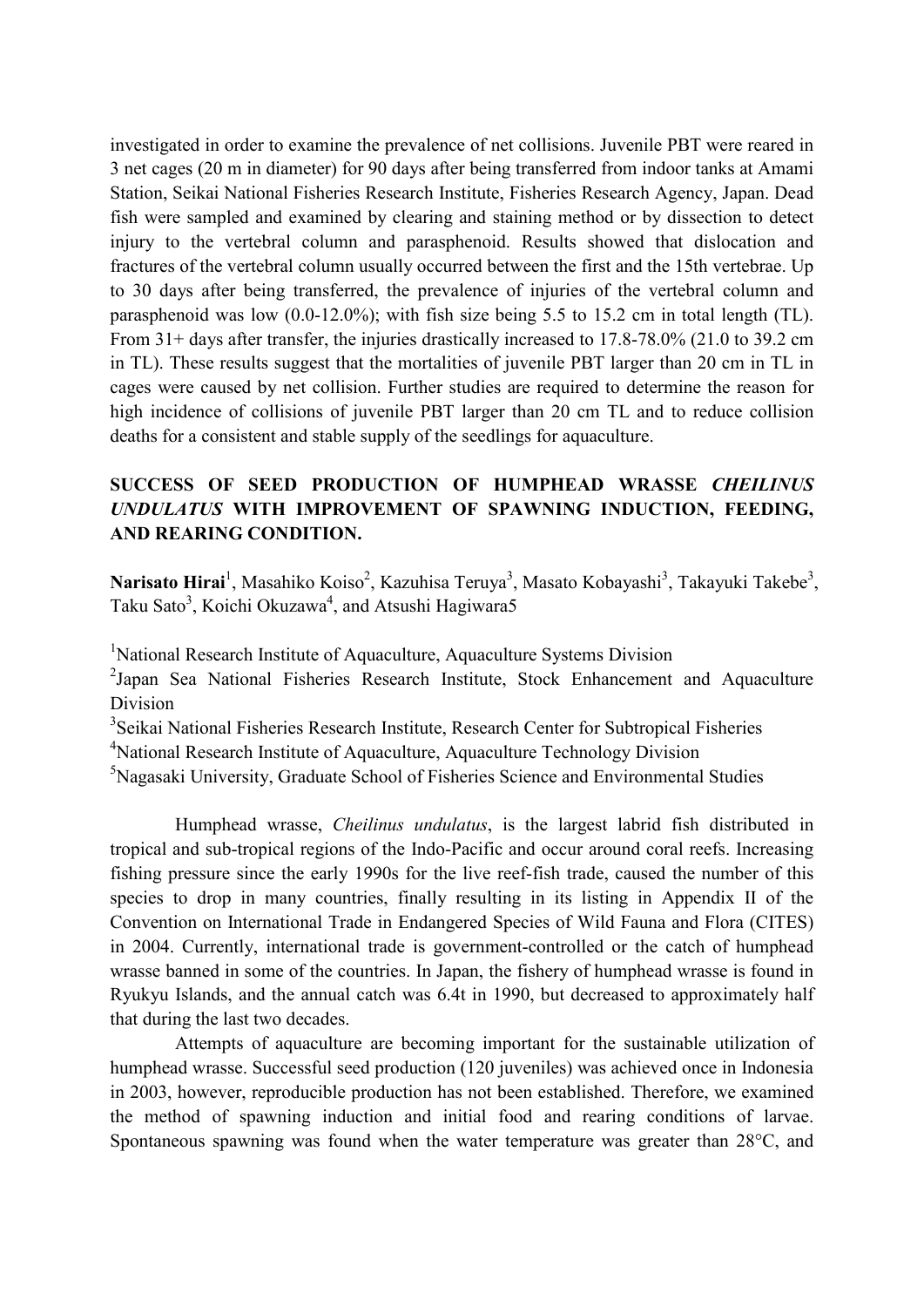investigated in order to examine the prevalence of net collisions. Juvenile PBT were reared in 3 net cages (20 m in diameter) for 90 days after being transferred from indoor tanks at Amami Station, Seikai National Fisheries Research Institute, Fisheries Research Agency, Japan. Dead fish were sampled and examined by clearing and staining method or by dissection to detect injury to the vertebral column and parasphenoid. Results showed that dislocation and fractures of the vertebral column usually occurred between the first and the 15th vertebrae. Up to 30 days after being transferred, the prevalence of injuries of the vertebral column and parasphenoid was low (0.0-12.0%); with fish size being 5.5 to 15.2 cm in total length (TL). From 31+ days after transfer, the injuries drastically increased to 17.8-78.0% (21.0 to 39.2 cm in TL). These results suggest that the mortalities of juvenile PBT larger than 20 cm in TL in cages were caused by net collision. Further studies are required to determine the reason for high incidence of collisions of juvenile PBT larger than 20 cm TL and to reduce collision deaths for a consistent and stable supply of the seedlings for aquaculture.

# **SUCCESS OF SEED PRODUCTION OF HUMPHEAD WRASSE** *CHEILINUS UNDULATUS* **WITH IMPROVEMENT OF SPAWNING INDUCTION, FEEDING, AND REARING CONDITION.**

Narisato Hirai<sup>1</sup>, Masahiko Koiso<sup>2</sup>, Kazuhisa Teruya<sup>3</sup>, Masato Kobayashi<sup>3</sup>, Takayuki Takebe<sup>3</sup>, Taku Sato<sup>3</sup>, Koichi Okuzawa<sup>4</sup>, and Atsushi Hagiwara5

<sup>1</sup>National Research Institute of Aquaculture, Aquaculture Systems Division

<sup>2</sup>Japan Sea National Fisheries Research Institute, Stock Enhancement and Aquaculture Division

<sup>3</sup>Seikai National Fisheries Research Institute, Research Center for Subtropical Fisheries

<sup>4</sup>National Research Institute of Aquaculture, Aquaculture Technology Division

<sup>5</sup>Nagasaki University, Graduate School of Fisheries Science and Environmental Studies

Humphead wrasse, *Cheilinus undulatus*, is the largest labrid fish distributed in tropical and sub-tropical regions of the Indo-Pacific and occur around coral reefs. Increasing fishing pressure since the early 1990s for the live reef-fish trade, caused the number of this species to drop in many countries, finally resulting in its listing in Appendix II of the Convention on International Trade in Endangered Species of Wild Fauna and Flora (CITES) in 2004. Currently, international trade is government-controlled or the catch of humphead wrasse banned in some of the countries. In Japan, the fishery of humphead wrasse is found in Ryukyu Islands, and the annual catch was 6.4t in 1990, but decreased to approximately half that during the last two decades.

Attempts of aquaculture are becoming important for the sustainable utilization of humphead wrasse. Successful seed production (120 juveniles) was achieved once in Indonesia in 2003, however, reproducible production has not been established. Therefore, we examined the method of spawning induction and initial food and rearing conditions of larvae. Spontaneous spawning was found when the water temperature was greater than 28°C, and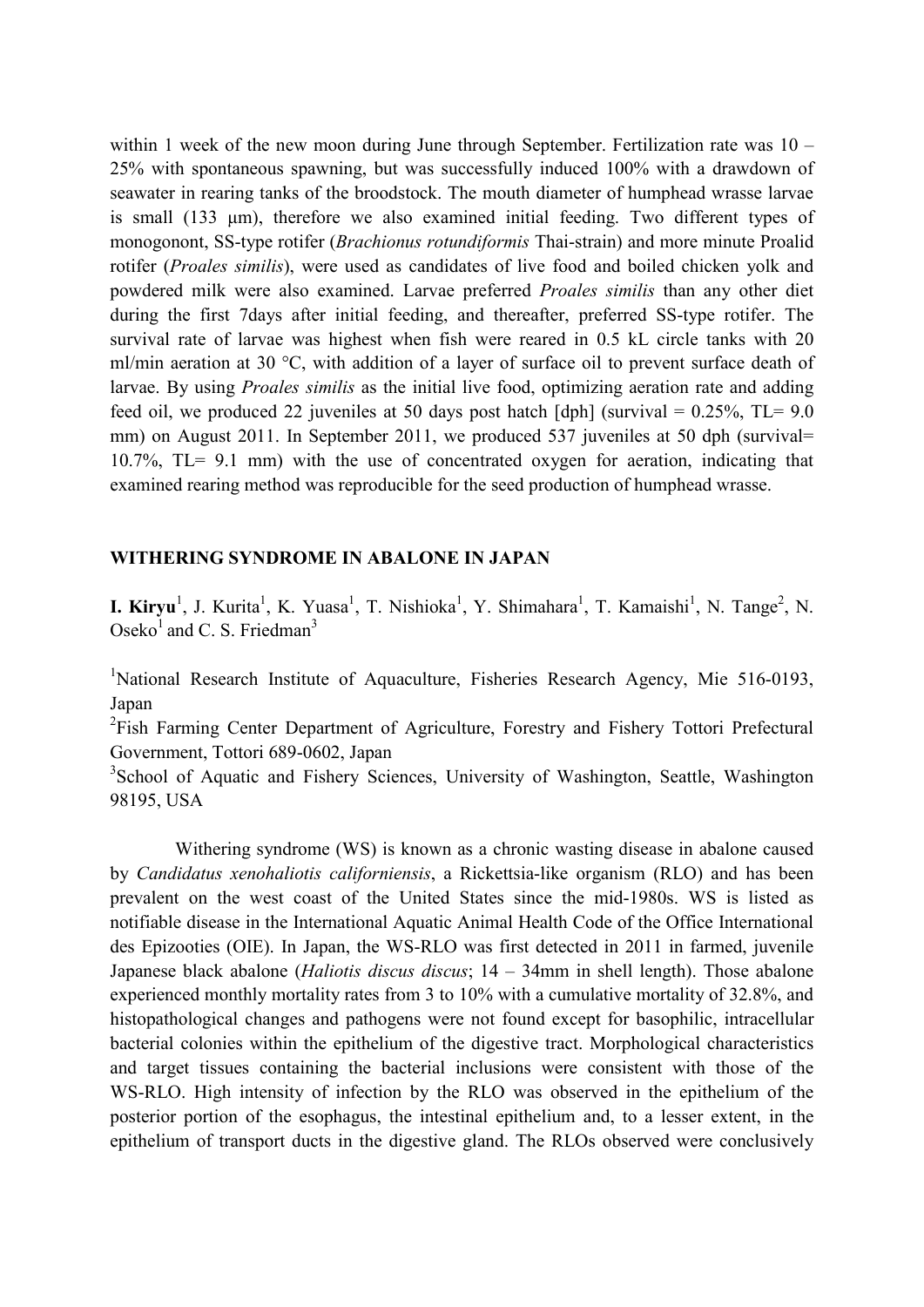within 1 week of the new moon during June through September. Fertilization rate was  $10 -$ 25% with spontaneous spawning, but was successfully induced 100% with a drawdown of seawater in rearing tanks of the broodstock. The mouth diameter of humphead wrasse larvae is small (133 µm), therefore we also examined initial feeding. Two different types of monogonont, SS-type rotifer (*Brachionus rotundiformis* Thai-strain) and more minute Proalid rotifer (*Proales similis*), were used as candidates of live food and boiled chicken yolk and powdered milk were also examined. Larvae preferred *Proales similis* than any other diet during the first 7days after initial feeding, and thereafter, preferred SS-type rotifer. The survival rate of larvae was highest when fish were reared in 0.5 kL circle tanks with 20 ml/min aeration at 30 °C, with addition of a layer of surface oil to prevent surface death of larvae. By using *Proales similis* as the initial live food, optimizing aeration rate and adding feed oil, we produced 22 juveniles at 50 days post hatch  $\lceil \text{dph} \rceil$  (survival = 0.25%, TL= 9.0 mm) on August 2011. In September 2011, we produced 537 juveniles at 50 dph (survival= 10.7%, TL= 9.1 mm) with the use of concentrated oxygen for aeration, indicating that examined rearing method was reproducible for the seed production of humphead wrasse.

#### **WITHERING SYNDROME IN ABALONE IN JAPAN**

**I. Kiryu**<sup>1</sup>, J. Kurita<sup>1</sup>, K. Yuasa<sup>1</sup>, T. Nishioka<sup>1</sup>, Y. Shimahara<sup>1</sup>, T. Kamaishi<sup>1</sup>, N. Tange<sup>2</sup>, N. Oseko<sup>1</sup> and C. S. Friedman<sup>3</sup>

<sup>1</sup>National Research Institute of Aquaculture, Fisheries Research Agency, Mie 516-0193, Japan

<sup>2</sup>Fish Farming Center Department of Agriculture, Forestry and Fishery Tottori Prefectural Government, Tottori 689-0602, Japan

<sup>3</sup>School of Aquatic and Fishery Sciences, University of Washington, Seattle, Washington 98195, USA

Withering syndrome (WS) is known as a chronic wasting disease in abalone caused by *Candidatus xenohaliotis californiensis*, a Rickettsia-like organism (RLO) and has been prevalent on the west coast of the United States since the mid-1980s. WS is listed as notifiable disease in the International Aquatic Animal Health Code of the Office International des Epizooties (OIE). In Japan, the WS-RLO was first detected in 2011 in farmed, juvenile Japanese black abalone (*Haliotis discus discus*; 14 – 34mm in shell length). Those abalone experienced monthly mortality rates from 3 to 10% with a cumulative mortality of 32.8%, and histopathological changes and pathogens were not found except for basophilic, intracellular bacterial colonies within the epithelium of the digestive tract. Morphological characteristics and target tissues containing the bacterial inclusions were consistent with those of the WS-RLO. High intensity of infection by the RLO was observed in the epithelium of the posterior portion of the esophagus, the intestinal epithelium and, to a lesser extent, in the epithelium of transport ducts in the digestive gland. The RLOs observed were conclusively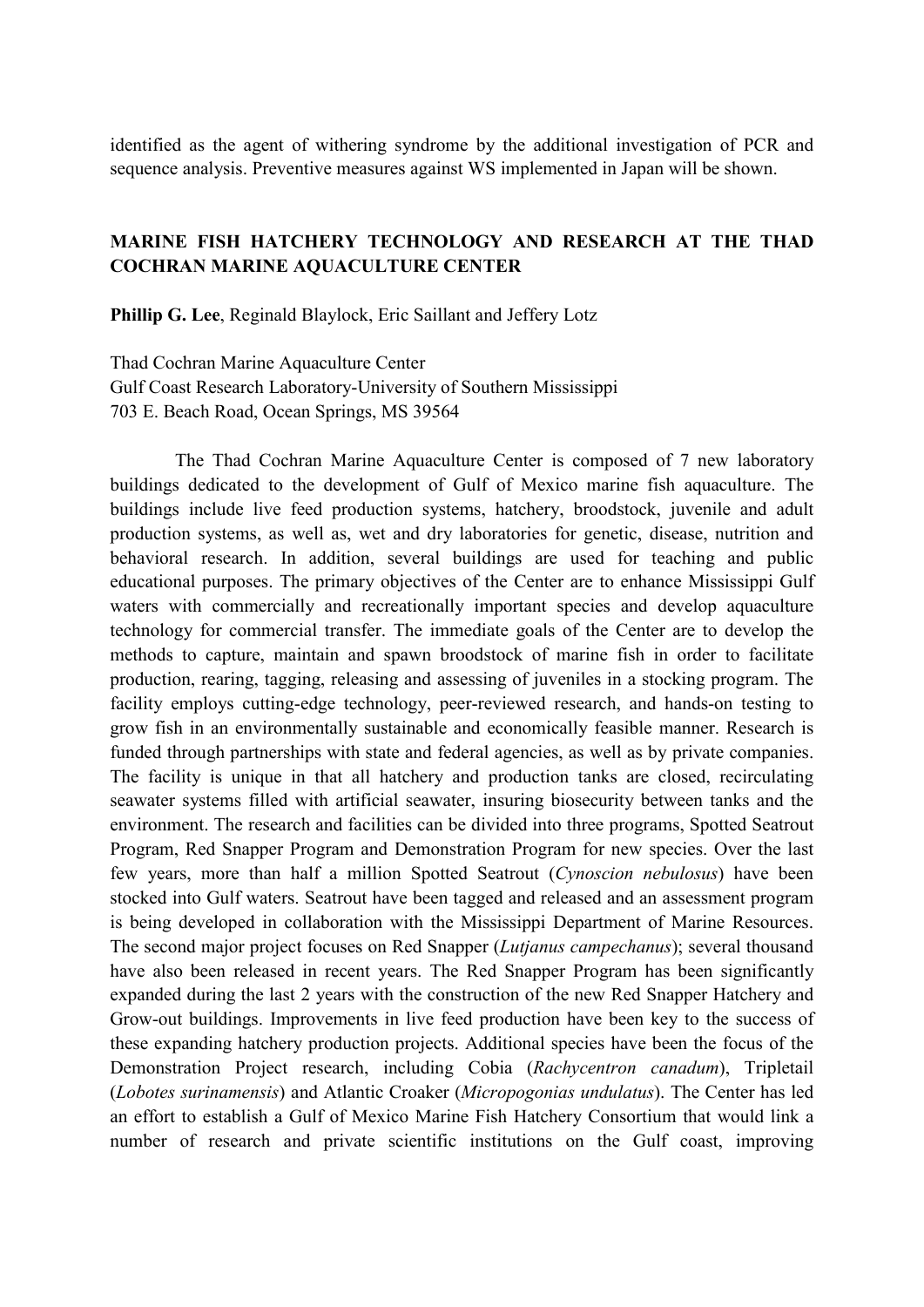identified as the agent of withering syndrome by the additional investigation of PCR and sequence analysis. Preventive measures against WS implemented in Japan will be shown.

## **MARINE FISH HATCHERY TECHNOLOGY AND RESEARCH AT THE THAD COCHRAN MARINE AQUACULTURE CENTER**

**Phillip G. Lee**, Reginald Blaylock, Eric Saillant and Jeffery Lotz

Thad Cochran Marine Aquaculture Center Gulf Coast Research Laboratory-University of Southern Mississippi 703 E. Beach Road, Ocean Springs, MS 39564

The Thad Cochran Marine Aquaculture Center is composed of 7 new laboratory buildings dedicated to the development of Gulf of Mexico marine fish aquaculture. The buildings include live feed production systems, hatchery, broodstock, juvenile and adult production systems, as well as, wet and dry laboratories for genetic, disease, nutrition and behavioral research. In addition, several buildings are used for teaching and public educational purposes. The primary objectives of the Center are to enhance Mississippi Gulf waters with commercially and recreationally important species and develop aquaculture technology for commercial transfer. The immediate goals of the Center are to develop the methods to capture, maintain and spawn broodstock of marine fish in order to facilitate production, rearing, tagging, releasing and assessing of juveniles in a stocking program. The facility employs cutting-edge technology, peer-reviewed research, and hands-on testing to grow fish in an environmentally sustainable and economically feasible manner. Research is funded through partnerships with state and federal agencies, as well as by private companies. The facility is unique in that all hatchery and production tanks are closed, recirculating seawater systems filled with artificial seawater, insuring biosecurity between tanks and the environment. The research and facilities can be divided into three programs, Spotted Seatrout Program, Red Snapper Program and Demonstration Program for new species. Over the last few years, more than half a million Spotted Seatrout (*Cynoscion nebulosus*) have been stocked into Gulf waters. Seatrout have been tagged and released and an assessment program is being developed in collaboration with the Mississippi Department of Marine Resources. The second major project focuses on Red Snapper (*Lutjanus campechanus*); several thousand have also been released in recent years. The Red Snapper Program has been significantly expanded during the last 2 years with the construction of the new Red Snapper Hatchery and Grow-out buildings. Improvements in live feed production have been key to the success of these expanding hatchery production projects. Additional species have been the focus of the Demonstration Project research, including Cobia (*Rachycentron canadum*), Tripletail (*Lobotes surinamensis*) and Atlantic Croaker (*Micropogonias undulatus*). The Center has led an effort to establish a Gulf of Mexico Marine Fish Hatchery Consortium that would link a number of research and private scientific institutions on the Gulf coast, improving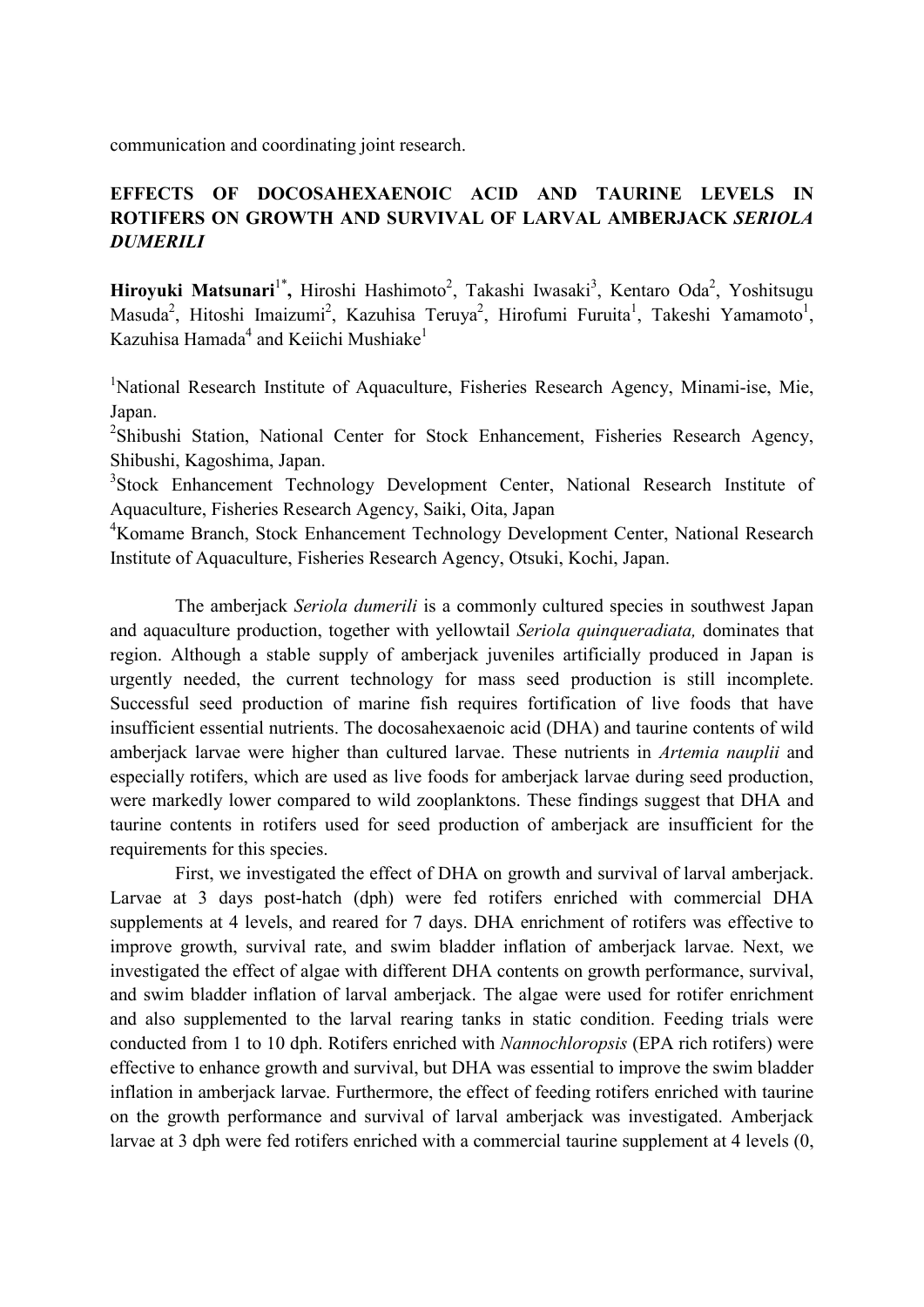communication and coordinating joint research.

# **EFFECTS OF DOCOSAHEXAENOIC ACID AND TAURINE LEVELS IN ROTIFERS ON GROWTH AND SURVIVAL OF LARVAL AMBERJACK** *SERIOLA DUMERILI*

Hiroyuki Matsunari<sup>1\*</sup>, Hiroshi Hashimoto<sup>2</sup>, Takashi Iwasaki<sup>3</sup>, Kentaro Oda<sup>2</sup>, Yoshitsugu Masuda<sup>2</sup>, Hitoshi Imaizumi<sup>2</sup>, Kazuhisa Teruya<sup>2</sup>, Hirofumi Furuita<sup>1</sup>, Takeshi Yamamoto<sup>1</sup>, Kazuhisa Hamada<sup>4</sup> and Keiichi Mushiake<sup>1</sup>

<sup>1</sup>National Research Institute of Aquaculture, Fisheries Research Agency, Minami-ise, Mie, Japan.

<sup>2</sup>Shibushi Station, National Center for Stock Enhancement, Fisheries Research Agency, Shibushi, Kagoshima, Japan.

<sup>3</sup>Stock Enhancement Technology Development Center, National Research Institute of Aquaculture, Fisheries Research Agency, Saiki, Oita, Japan

<sup>4</sup>Komame Branch, Stock Enhancement Technology Development Center, National Research Institute of Aquaculture, Fisheries Research Agency, Otsuki, Kochi, Japan.

The amberjack *Seriola dumerili* is a commonly cultured species in southwest Japan and aquaculture production, together with yellowtail *Seriola quinqueradiata,* dominates that region. Although a stable supply of amberjack juveniles artificially produced in Japan is urgently needed, the current technology for mass seed production is still incomplete. Successful seed production of marine fish requires fortification of live foods that have insufficient essential nutrients. The docosahexaenoic acid (DHA) and taurine contents of wild amberjack larvae were higher than cultured larvae. These nutrients in *Artemia nauplii* and especially rotifers, which are used as live foods for amberjack larvae during seed production, were markedly lower compared to wild zooplanktons. These findings suggest that DHA and taurine contents in rotifers used for seed production of amberjack are insufficient for the requirements for this species.

First, we investigated the effect of DHA on growth and survival of larval amberjack. Larvae at 3 days post-hatch (dph) were fed rotifers enriched with commercial DHA supplements at 4 levels, and reared for 7 days. DHA enrichment of rotifers was effective to improve growth, survival rate, and swim bladder inflation of amberjack larvae. Next, we investigated the effect of algae with different DHA contents on growth performance, survival, and swim bladder inflation of larval amberjack. The algae were used for rotifer enrichment and also supplemented to the larval rearing tanks in static condition. Feeding trials were conducted from 1 to 10 dph. Rotifers enriched with *Nannochloropsis* (EPA rich rotifers) were effective to enhance growth and survival, but DHA was essential to improve the swim bladder inflation in amberjack larvae. Furthermore, the effect of feeding rotifers enriched with taurine on the growth performance and survival of larval amberjack was investigated. Amberjack larvae at 3 dph were fed rotifers enriched with a commercial taurine supplement at 4 levels (0,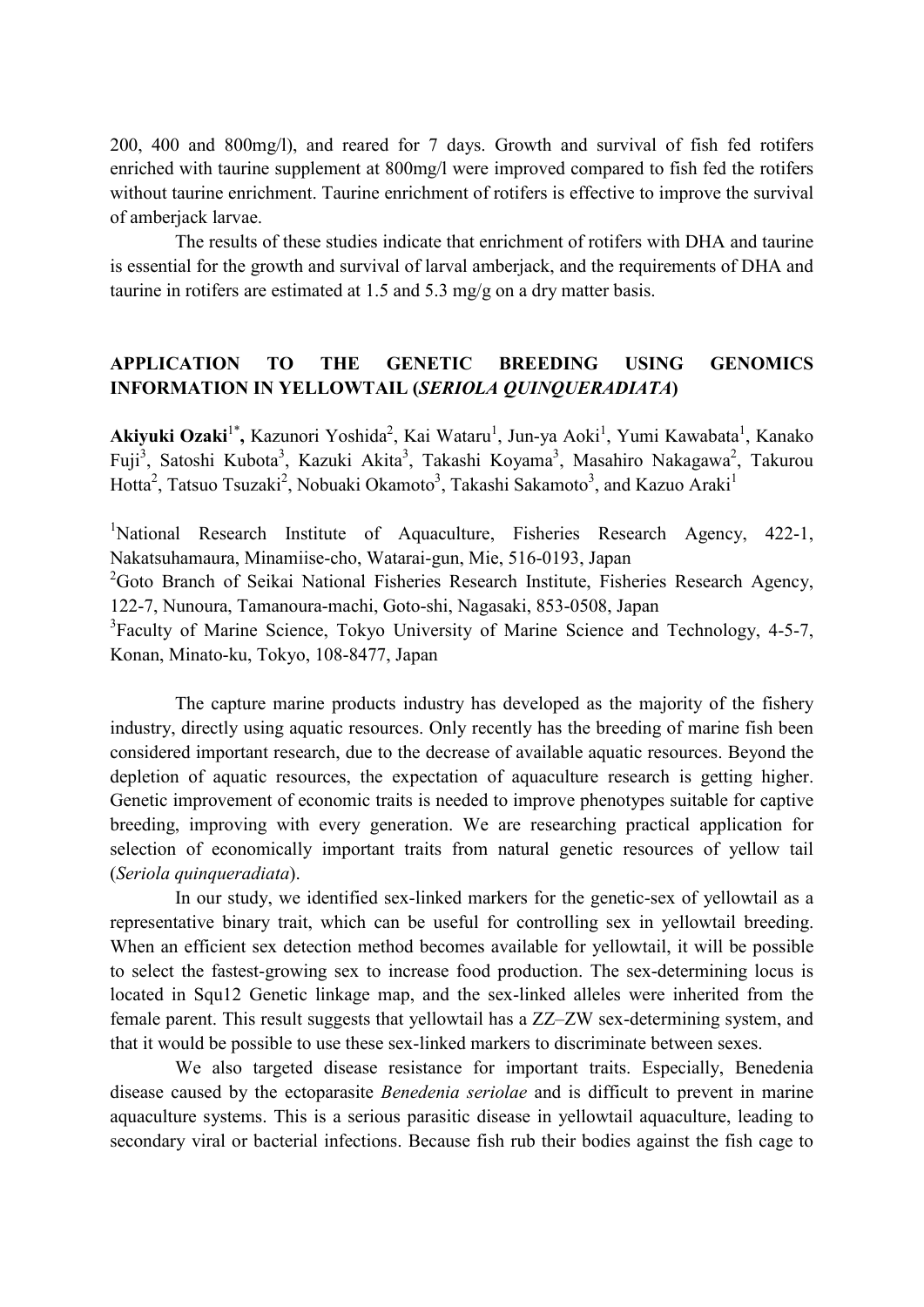200, 400 and 800mg/l), and reared for 7 days. Growth and survival of fish fed rotifers enriched with taurine supplement at 800mg/l were improved compared to fish fed the rotifers without taurine enrichment. Taurine enrichment of rotifers is effective to improve the survival of amberjack larvae.

The results of these studies indicate that enrichment of rotifers with DHA and taurine is essential for the growth and survival of larval amberjack, and the requirements of DHA and taurine in rotifers are estimated at 1.5 and 5.3 mg/g on a dry matter basis.

# **APPLICATION TO THE GENETIC BREEDING USING GENOMICS INFORMATION IN YELLOWTAIL (***SERIOLA QUINQUERADIATA***)**

Akiyuki Ozaki<sup>1\*</sup>, Kazunori Yoshida<sup>2</sup>, Kai Wataru<sup>1</sup>, Jun-ya Aoki<sup>1</sup>, Yumi Kawabata<sup>1</sup>, Kanako Fuji<sup>3</sup>, Satoshi Kubota<sup>3</sup>, Kazuki Akita<sup>3</sup>, Takashi Koyama<sup>3</sup>, Masahiro Nakagawa<sup>2</sup>, Takurou Hotta<sup>2</sup>, Tatsuo Tsuzaki<sup>2</sup>, Nobuaki Okamoto<sup>3</sup>, Takashi Sakamoto<sup>3</sup>, and Kazuo Araki<sup>1</sup>

<sup>1</sup>National Research Institute of Aquaculture, Fisheries Research Agency, 422-1, Nakatsuhamaura, Minamiise-cho, Watarai-gun, Mie, 516-0193, Japan

<sup>2</sup>Goto Branch of Seikai National Fisheries Research Institute, Fisheries Research Agency, 122-7, Nunoura, Tamanoura-machi, Goto-shi, Nagasaki, 853-0508, Japan

<sup>3</sup>Faculty of Marine Science, Tokyo University of Marine Science and Technology, 4-5-7, Konan, Minato-ku, Tokyo, 108-8477, Japan

The capture marine products industry has developed as the majority of the fishery industry, directly using aquatic resources. Only recently has the breeding of marine fish been considered important research, due to the decrease of available aquatic resources. Beyond the depletion of aquatic resources, the expectation of aquaculture research is getting higher. Genetic improvement of economic traits is needed to improve phenotypes suitable for captive breeding, improving with every generation. We are researching practical application for selection of economically important traits from natural genetic resources of yellow tail (*Seriola quinqueradiata*).

In our study, we identified sex-linked markers for the genetic-sex of yellowtail as a representative binary trait, which can be useful for controlling sex in yellowtail breeding. When an efficient sex detection method becomes available for yellowtail, it will be possible to select the fastest-growing sex to increase food production. The sex-determining locus is located in Squ12 Genetic linkage map, and the sex-linked alleles were inherited from the female parent. This result suggests that yellowtail has a ZZ–ZW sex-determining system, and that it would be possible to use these sex-linked markers to discriminate between sexes.

We also targeted disease resistance for important traits. Especially, Benedenia disease caused by the ectoparasite *Benedenia seriolae* and is difficult to prevent in marine aquaculture systems. This is a serious parasitic disease in yellowtail aquaculture, leading to secondary viral or bacterial infections. Because fish rub their bodies against the fish cage to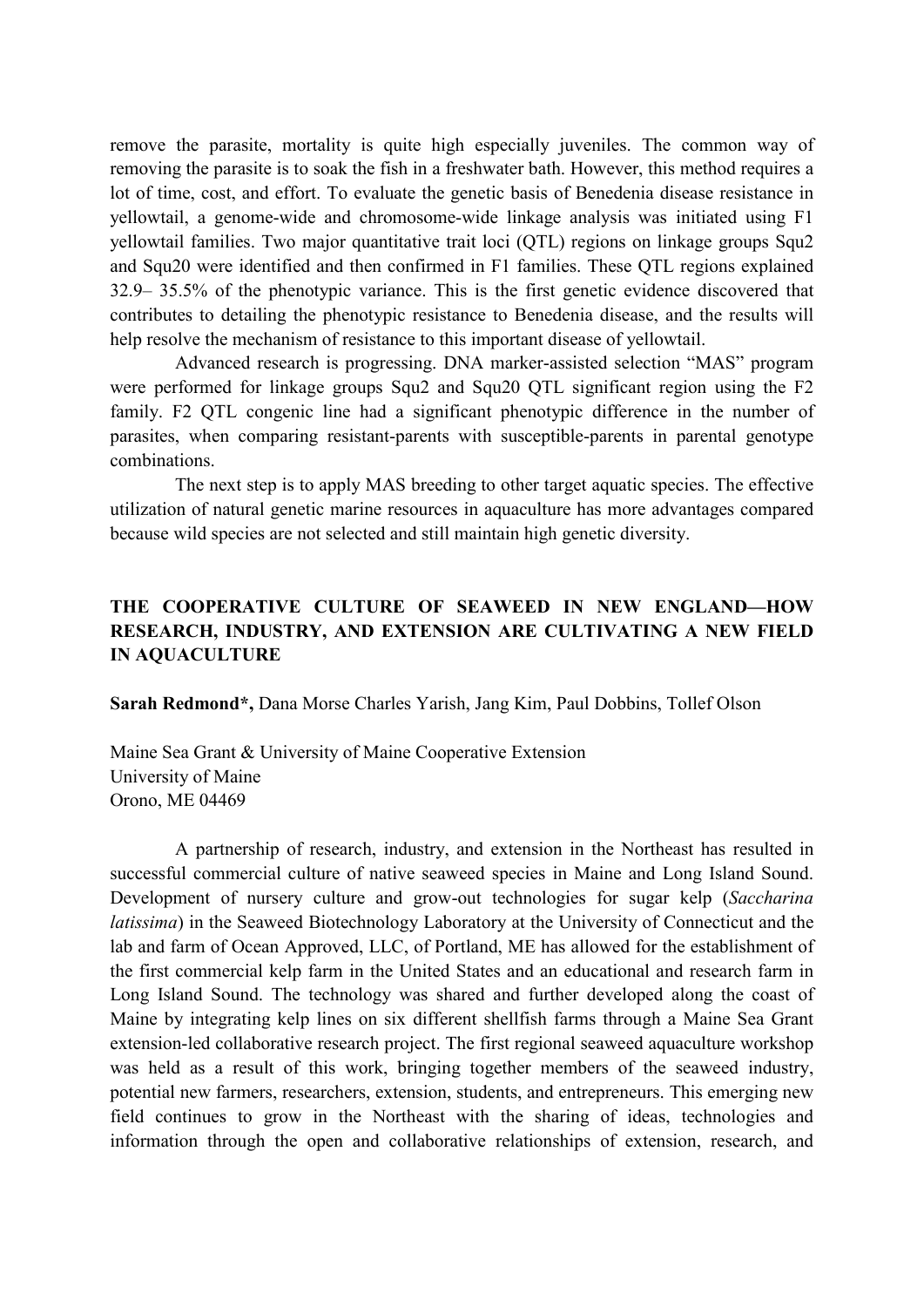remove the parasite, mortality is quite high especially juveniles. The common way of removing the parasite is to soak the fish in a freshwater bath. However, this method requires a lot of time, cost, and effort. To evaluate the genetic basis of Benedenia disease resistance in yellowtail, a genome-wide and chromosome-wide linkage analysis was initiated using F1 yellowtail families. Two major quantitative trait loci (QTL) regions on linkage groups Squ2 and Squ20 were identified and then confirmed in F1 families. These QTL regions explained 32.9– 35.5% of the phenotypic variance. This is the first genetic evidence discovered that contributes to detailing the phenotypic resistance to Benedenia disease, and the results will help resolve the mechanism of resistance to this important disease of yellowtail.

Advanced research is progressing. DNA marker-assisted selection "MAS" program were performed for linkage groups Squ2 and Squ20 QTL significant region using the F2 family. F2 QTL congenic line had a significant phenotypic difference in the number of parasites, when comparing resistant-parents with susceptible-parents in parental genotype combinations.

The next step is to apply MAS breeding to other target aquatic species. The effective utilization of natural genetic marine resources in aquaculture has more advantages compared because wild species are not selected and still maintain high genetic diversity.

# **THE COOPERATIVE CULTURE OF SEAWEED IN NEW ENGLAND—HOW RESEARCH, INDUSTRY, AND EXTENSION ARE CULTIVATING A NEW FIELD IN AQUACULTURE**

**Sarah Redmond\*,** Dana Morse Charles Yarish, Jang Kim, Paul Dobbins, Tollef Olson

Maine Sea Grant & University of Maine Cooperative Extension University of Maine Orono, ME 04469

A partnership of research, industry, and extension in the Northeast has resulted in successful commercial culture of native seaweed species in Maine and Long Island Sound. Development of nursery culture and grow-out technologies for sugar kelp (*Saccharina latissima*) in the Seaweed Biotechnology Laboratory at the University of Connecticut and the lab and farm of Ocean Approved, LLC, of Portland, ME has allowed for the establishment of the first commercial kelp farm in the United States and an educational and research farm in Long Island Sound. The technology was shared and further developed along the coast of Maine by integrating kelp lines on six different shellfish farms through a Maine Sea Grant extension-led collaborative research project. The first regional seaweed aquaculture workshop was held as a result of this work, bringing together members of the seaweed industry, potential new farmers, researchers, extension, students, and entrepreneurs. This emerging new field continues to grow in the Northeast with the sharing of ideas, technologies and information through the open and collaborative relationships of extension, research, and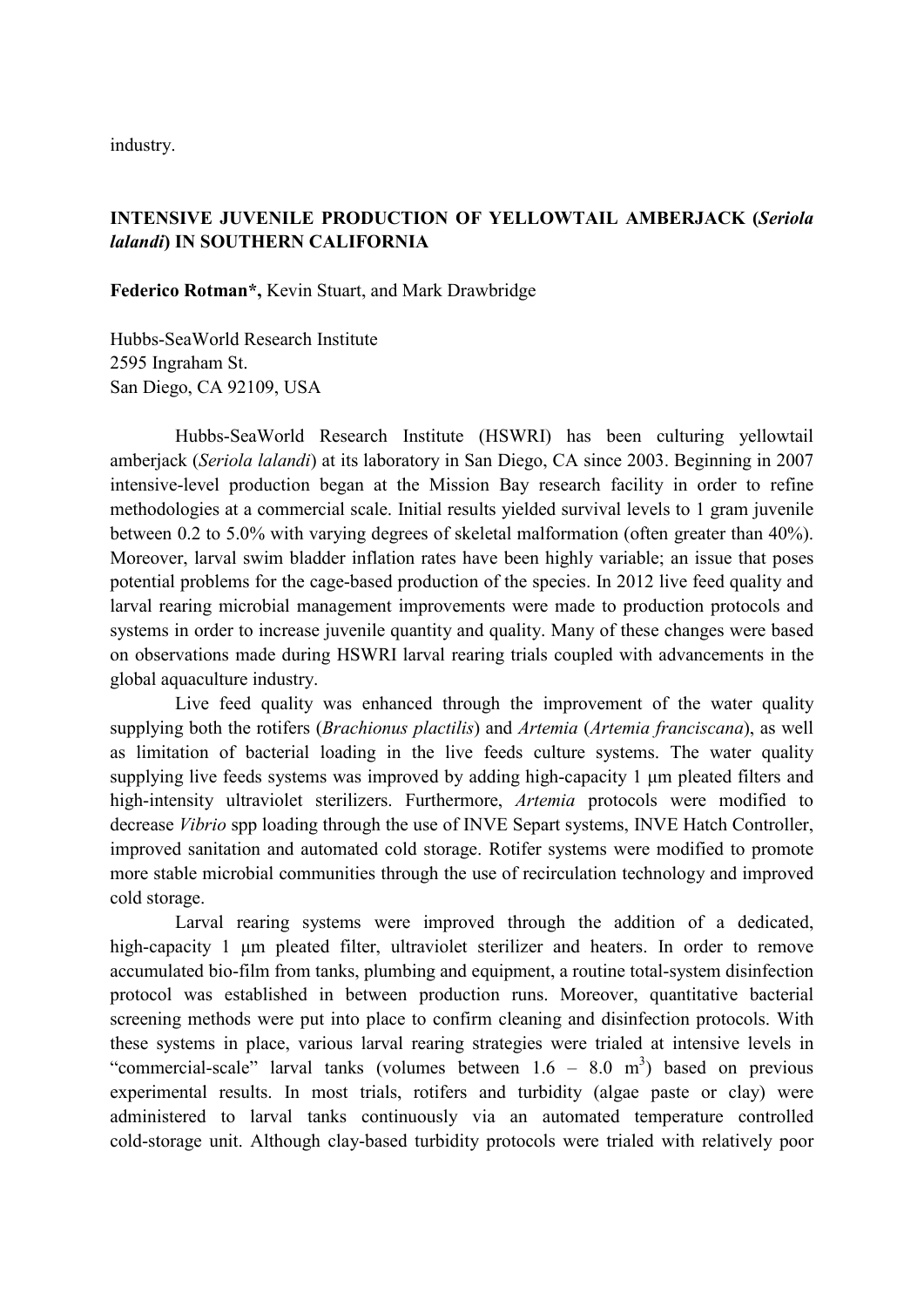industry.

# **INTENSIVE JUVENILE PRODUCTION OF YELLOWTAIL AMBERJACK (***Seriola lalandi***) IN SOUTHERN CALIFORNIA**

**Federico Rotman\*,** Kevin Stuart, and Mark Drawbridge

Hubbs-SeaWorld Research Institute 2595 Ingraham St. San Diego, CA 92109, USA

Hubbs-SeaWorld Research Institute (HSWRI) has been culturing yellowtail amberjack (*Seriola lalandi*) at its laboratory in San Diego, CA since 2003. Beginning in 2007 intensive-level production began at the Mission Bay research facility in order to refine methodologies at a commercial scale. Initial results yielded survival levels to 1 gram juvenile between 0.2 to 5.0% with varying degrees of skeletal malformation (often greater than 40%). Moreover, larval swim bladder inflation rates have been highly variable; an issue that poses potential problems for the cage-based production of the species. In 2012 live feed quality and larval rearing microbial management improvements were made to production protocols and systems in order to increase juvenile quantity and quality. Many of these changes were based on observations made during HSWRI larval rearing trials coupled with advancements in the global aquaculture industry.

Live feed quality was enhanced through the improvement of the water quality supplying both the rotifers (*Brachionus plactilis*) and *Artemia* (*Artemia franciscana*), as well as limitation of bacterial loading in the live feeds culture systems. The water quality supplying live feeds systems was improved by adding high-capacity 1 µm pleated filters and high-intensity ultraviolet sterilizers. Furthermore, *Artemia* protocols were modified to decrease *Vibrio* spp loading through the use of INVE Separt systems, INVE Hatch Controller, improved sanitation and automated cold storage. Rotifer systems were modified to promote more stable microbial communities through the use of recirculation technology and improved cold storage.

Larval rearing systems were improved through the addition of a dedicated, high-capacity 1 µm pleated filter, ultraviolet sterilizer and heaters. In order to remove accumulated bio-film from tanks, plumbing and equipment, a routine total-system disinfection protocol was established in between production runs. Moreover, quantitative bacterial screening methods were put into place to confirm cleaning and disinfection protocols. With these systems in place, various larval rearing strategies were trialed at intensive levels in "commercial-scale" larval tanks (volumes between  $1.6 - 8.0$  m<sup>3</sup>) based on previous experimental results. In most trials, rotifers and turbidity (algae paste or clay) were administered to larval tanks continuously via an automated temperature controlled cold-storage unit. Although clay-based turbidity protocols were trialed with relatively poor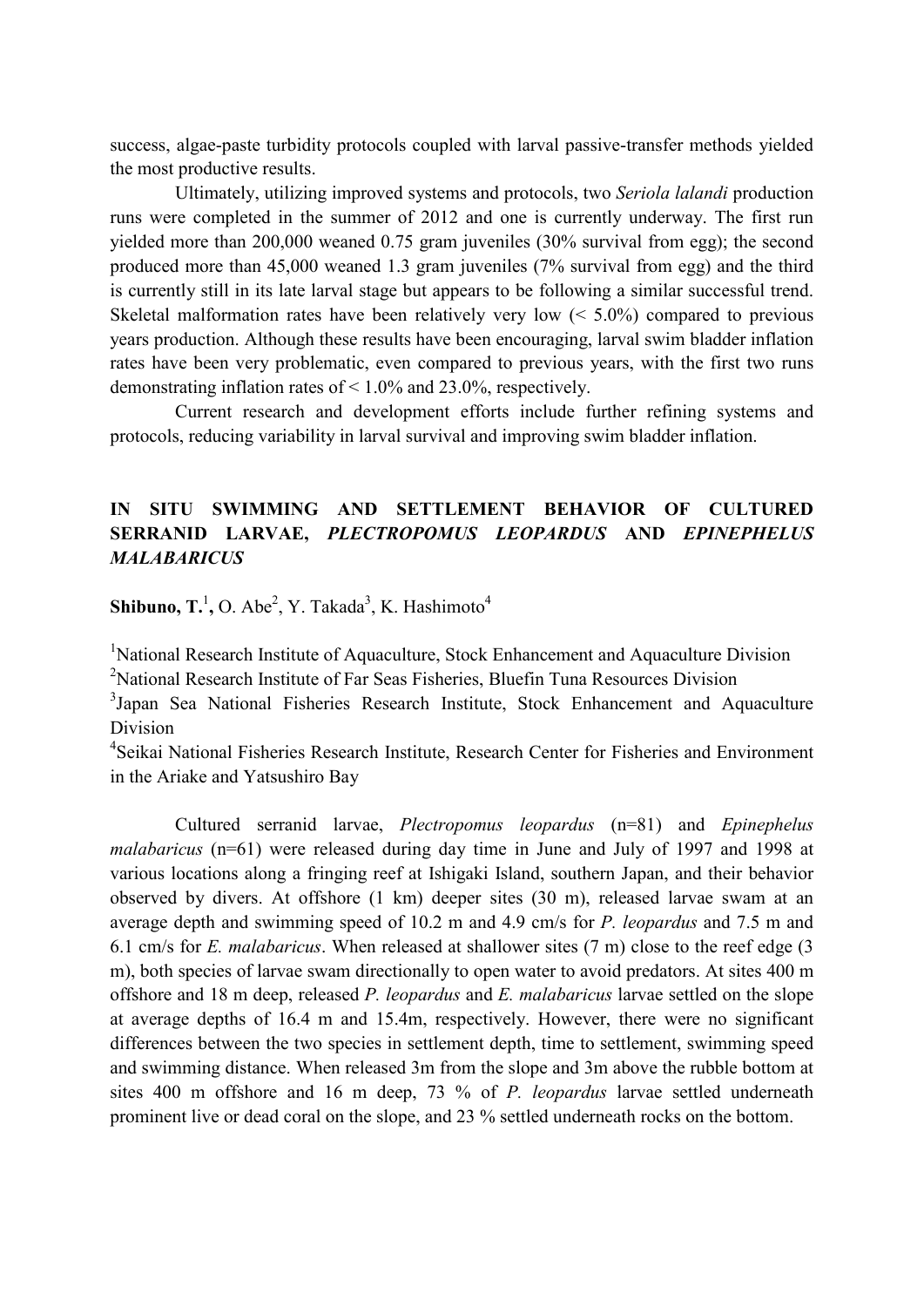success, algae-paste turbidity protocols coupled with larval passive-transfer methods yielded the most productive results.

Ultimately, utilizing improved systems and protocols, two *Seriola lalandi* production runs were completed in the summer of 2012 and one is currently underway. The first run yielded more than 200,000 weaned 0.75 gram juveniles (30% survival from egg); the second produced more than 45,000 weaned 1.3 gram juveniles (7% survival from egg) and the third is currently still in its late larval stage but appears to be following a similar successful trend. Skeletal malformation rates have been relatively very low (< 5.0%) compared to previous years production. Although these results have been encouraging, larval swim bladder inflation rates have been very problematic, even compared to previous years, with the first two runs demonstrating inflation rates of < 1.0% and 23.0%, respectively.

Current research and development efforts include further refining systems and protocols, reducing variability in larval survival and improving swim bladder inflation.

## **IN SITU SWIMMING AND SETTLEMENT BEHAVIOR OF CULTURED SERRANID LARVAE,** *PLECTROPOMUS LEOPARDUS* **AND** *EPINEPHELUS MALABARICUS*

**Shibuno, T.<sup>1</sup>, O.** Abe<sup>2</sup>, Y. Takada<sup>3</sup>, K. Hashimoto<sup>4</sup>

<sup>1</sup>National Research Institute of Aquaculture, Stock Enhancement and Aquaculture Division

<sup>2</sup>National Research Institute of Far Seas Fisheries, Bluefin Tuna Resources Division

<sup>3</sup>Japan Sea National Fisheries Research Institute, Stock Enhancement and Aquaculture Division

<sup>4</sup>Seikai National Fisheries Research Institute, Research Center for Fisheries and Environment in the Ariake and Yatsushiro Bay

Cultured serranid larvae, *Plectropomus leopardus* (n=81) and *Epinephelus malabaricus* (n=61) were released during day time in June and July of 1997 and 1998 at various locations along a fringing reef at Ishigaki Island, southern Japan, and their behavior observed by divers. At offshore (1 km) deeper sites (30 m), released larvae swam at an average depth and swimming speed of 10.2 m and 4.9 cm/s for *P. leopardus* and 7.5 m and 6.1 cm/s for *E. malabaricus*. When released at shallower sites (7 m) close to the reef edge (3 m), both species of larvae swam directionally to open water to avoid predators. At sites 400 m offshore and 18 m deep, released *P. leopardus* and *E. malabaricus* larvae settled on the slope at average depths of 16.4 m and 15.4m, respectively. However, there were no significant differences between the two species in settlement depth, time to settlement, swimming speed and swimming distance. When released 3m from the slope and 3m above the rubble bottom at sites 400 m offshore and 16 m deep, 73 % of *P. leopardus* larvae settled underneath prominent live or dead coral on the slope, and 23 % settled underneath rocks on the bottom.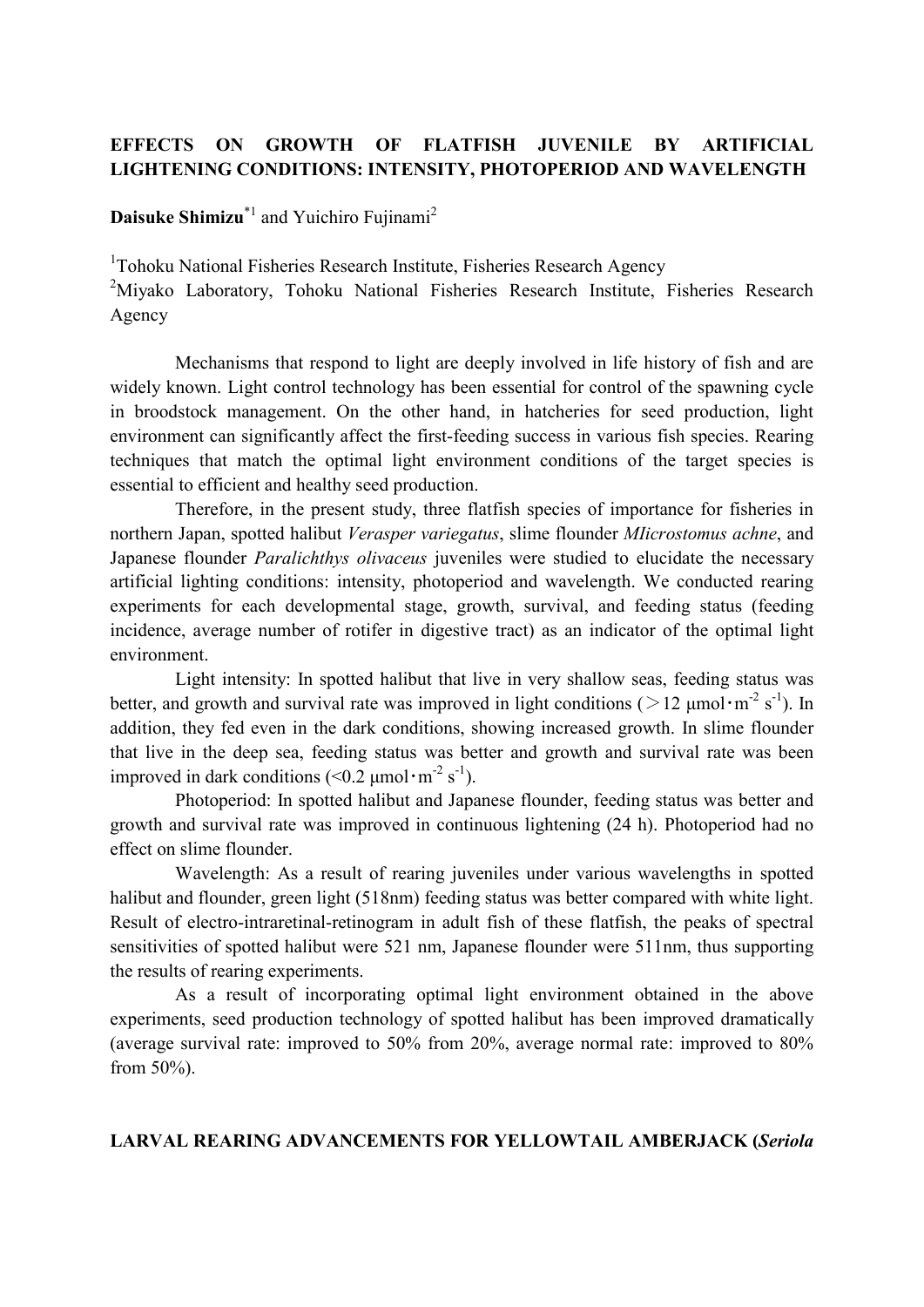# **EFFECTS ON GROWTH OF FLATFISH JUVENILE BY ARTIFICIAL LIGHTENING CONDITIONS: INTENSITY, PHOTOPERIOD AND WAVELENGTH**

**Daisuke Shimizu**<sup>\*1</sup> and Yuichiro Fujinami<sup>2</sup>

<sup>1</sup>Tohoku National Fisheries Research Institute, Fisheries Research Agency

<sup>2</sup>Miyako Laboratory, Tohoku National Fisheries Research Institute, Fisheries Research Agency

Mechanisms that respond to light are deeply involved in life history of fish and are widely known. Light control technology has been essential for control of the spawning cycle in broodstock management. On the other hand, in hatcheries for seed production, light environment can significantly affect the first-feeding success in various fish species. Rearing techniques that match the optimal light environment conditions of the target species is essential to efficient and healthy seed production.

Therefore, in the present study, three flatfish species of importance for fisheries in northern Japan, spotted halibut *Verasper variegatus*, slime flounder *MIicrostomus achne*, and Japanese flounder *Paralichthys olivaceus* juveniles were studied to elucidate the necessary artificial lighting conditions: intensity, photoperiod and wavelength. We conducted rearing experiments for each developmental stage, growth, survival, and feeding status (feeding incidence, average number of rotifer in digestive tract) as an indicator of the optimal light environment.

Light intensity: In spotted halibut that live in very shallow seas, feeding status was better, and growth and survival rate was improved in light conditions ( $>12 \mu$ mol·m<sup>-2</sup> s<sup>-1</sup>). In addition, they fed even in the dark conditions, showing increased growth. In slime flounder that live in the deep sea, feeding status was better and growth and survival rate was been improved in dark conditions  $(<0.2 \mu mol·m<sup>-2</sup> s<sup>-1</sup>)$ .

Photoperiod: In spotted halibut and Japanese flounder, feeding status was better and growth and survival rate was improved in continuous lightening (24 h). Photoperiod had no effect on slime flounder.

Wavelength: As a result of rearing juveniles under various wavelengths in spotted halibut and flounder, green light (518nm) feeding status was better compared with white light. Result of electro-intraretinal-retinogram in adult fish of these flatfish, the peaks of spectral sensitivities of spotted halibut were 521 nm, Japanese flounder were 511nm, thus supporting the results of rearing experiments.

As a result of incorporating optimal light environment obtained in the above experiments, seed production technology of spotted halibut has been improved dramatically (average survival rate: improved to 50% from 20%, average normal rate: improved to 80% from 50%).

#### **LARVAL REARING ADVANCEMENTS FOR YELLOWTAIL AMBERJACK (***Seriola*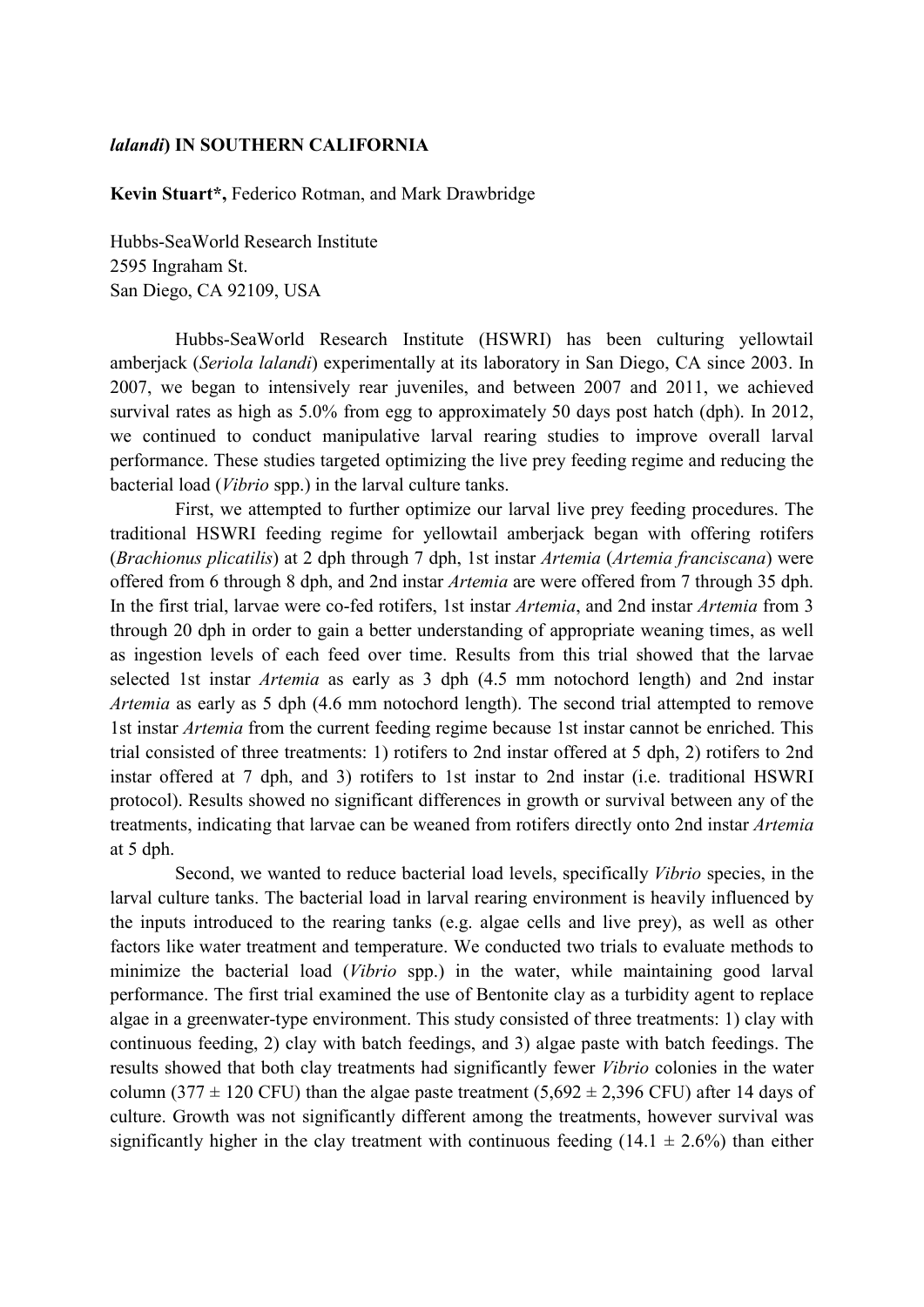#### *lalandi***) IN SOUTHERN CALIFORNIA**

**Kevin Stuart\*,** Federico Rotman, and Mark Drawbridge

Hubbs-SeaWorld Research Institute 2595 Ingraham St. San Diego, CA 92109, USA

Hubbs-SeaWorld Research Institute (HSWRI) has been culturing yellowtail amberjack (*Seriola lalandi*) experimentally at its laboratory in San Diego, CA since 2003. In 2007, we began to intensively rear juveniles, and between 2007 and 2011, we achieved survival rates as high as 5.0% from egg to approximately 50 days post hatch (dph). In 2012, we continued to conduct manipulative larval rearing studies to improve overall larval performance. These studies targeted optimizing the live prey feeding regime and reducing the bacterial load (*Vibrio* spp.) in the larval culture tanks.

First, we attempted to further optimize our larval live prey feeding procedures. The traditional HSWRI feeding regime for yellowtail amberjack began with offering rotifers (*Brachionus plicatilis*) at 2 dph through 7 dph, 1st instar *Artemia* (*Artemia franciscana*) were offered from 6 through 8 dph, and 2nd instar *Artemia* are were offered from 7 through 35 dph. In the first trial, larvae were co-fed rotifers, 1st instar *Artemia*, and 2nd instar *Artemia* from 3 through 20 dph in order to gain a better understanding of appropriate weaning times, as well as ingestion levels of each feed over time. Results from this trial showed that the larvae selected 1st instar *Artemia* as early as 3 dph (4.5 mm notochord length) and 2nd instar *Artemia* as early as 5 dph (4.6 mm notochord length). The second trial attempted to remove 1st instar *Artemia* from the current feeding regime because 1st instar cannot be enriched. This trial consisted of three treatments: 1) rotifers to 2nd instar offered at 5 dph, 2) rotifers to 2nd instar offered at 7 dph, and 3) rotifers to 1st instar to 2nd instar (i.e. traditional HSWRI protocol). Results showed no significant differences in growth or survival between any of the treatments, indicating that larvae can be weaned from rotifers directly onto 2nd instar *Artemia*  at 5 dph.

Second, we wanted to reduce bacterial load levels, specifically *Vibrio* species, in the larval culture tanks. The bacterial load in larval rearing environment is heavily influenced by the inputs introduced to the rearing tanks (e.g. algae cells and live prey), as well as other factors like water treatment and temperature. We conducted two trials to evaluate methods to minimize the bacterial load (*Vibrio* spp.) in the water, while maintaining good larval performance. The first trial examined the use of Bentonite clay as a turbidity agent to replace algae in a greenwater-type environment. This study consisted of three treatments: 1) clay with continuous feeding, 2) clay with batch feedings, and 3) algae paste with batch feedings. The results showed that both clay treatments had significantly fewer *Vibrio* colonies in the water column (377  $\pm$  120 CFU) than the algae paste treatment (5,692  $\pm$  2,396 CFU) after 14 days of culture. Growth was not significantly different among the treatments, however survival was significantly higher in the clay treatment with continuous feeding  $(14.1 \pm 2.6\%)$  than either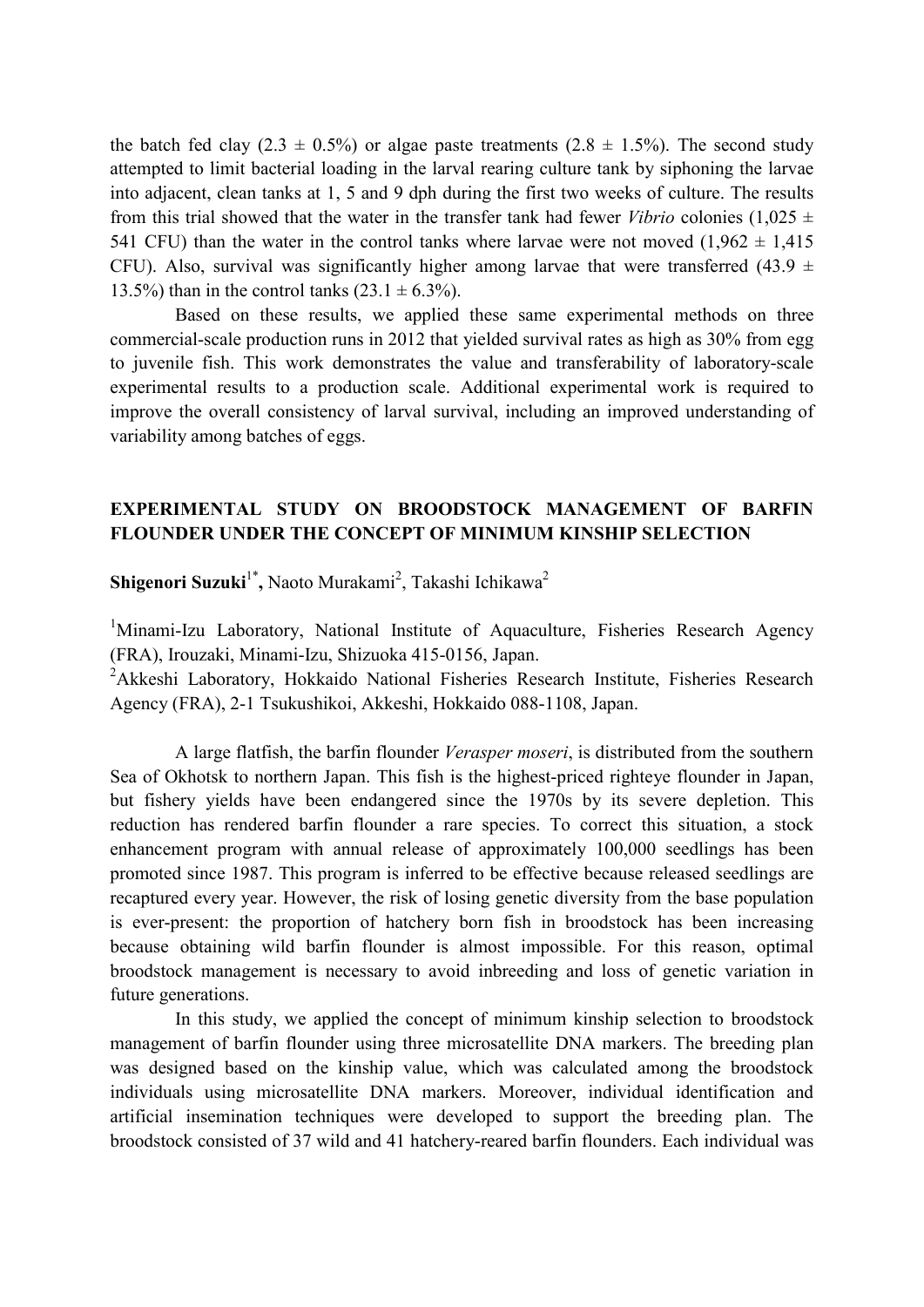the batch fed clay (2.3  $\pm$  0.5%) or algae paste treatments (2.8  $\pm$  1.5%). The second study attempted to limit bacterial loading in the larval rearing culture tank by siphoning the larvae into adjacent, clean tanks at 1, 5 and 9 dph during the first two weeks of culture. The results from this trial showed that the water in the transfer tank had fewer *Vibrio* colonies (1,025  $\pm$ 541 CFU) than the water in the control tanks where larvae were not moved  $(1,962 \pm 1,415)$ CFU). Also, survival was significantly higher among larvae that were transferred (43.9  $\pm$ 13.5%) than in the control tanks  $(23.1 \pm 6.3\%)$ .

Based on these results, we applied these same experimental methods on three commercial-scale production runs in 2012 that yielded survival rates as high as 30% from egg to juvenile fish. This work demonstrates the value and transferability of laboratory-scale experimental results to a production scale. Additional experimental work is required to improve the overall consistency of larval survival, including an improved understanding of variability among batches of eggs.

#### **EXPERIMENTAL STUDY ON BROODSTOCK MANAGEMENT OF BARFIN FLOUNDER UNDER THE CONCEPT OF MINIMUM KINSHIP SELECTION**

Shigenori Suzuki<sup>1\*</sup>, Naoto Murakami<sup>2</sup>, Takashi Ichikawa<sup>2</sup>

<sup>1</sup>Minami-Izu Laboratory, National Institute of Aquaculture, Fisheries Research Agency (FRA), Irouzaki, Minami-Izu, Shizuoka 415-0156, Japan.

<sup>2</sup>Akkeshi Laboratory, Hokkaido National Fisheries Research Institute, Fisheries Research Agency (FRA), 2-1 Tsukushikoi, Akkeshi, Hokkaido 088-1108, Japan.

A large flatfish, the barfin flounder *Verasper moseri*, is distributed from the southern Sea of Okhotsk to northern Japan. This fish is the highest-priced righteye flounder in Japan, but fishery yields have been endangered since the 1970s by its severe depletion. This reduction has rendered barfin flounder a rare species. To correct this situation, a stock enhancement program with annual release of approximately 100,000 seedlings has been promoted since 1987. This program is inferred to be effective because released seedlings are recaptured every year. However, the risk of losing genetic diversity from the base population is ever-present: the proportion of hatchery born fish in broodstock has been increasing because obtaining wild barfin flounder is almost impossible. For this reason, optimal broodstock management is necessary to avoid inbreeding and loss of genetic variation in future generations.

In this study, we applied the concept of minimum kinship selection to broodstock management of barfin flounder using three microsatellite DNA markers. The breeding plan was designed based on the kinship value, which was calculated among the broodstock individuals using microsatellite DNA markers. Moreover, individual identification and artificial insemination techniques were developed to support the breeding plan. The broodstock consisted of 37 wild and 41 hatchery-reared barfin flounders. Each individual was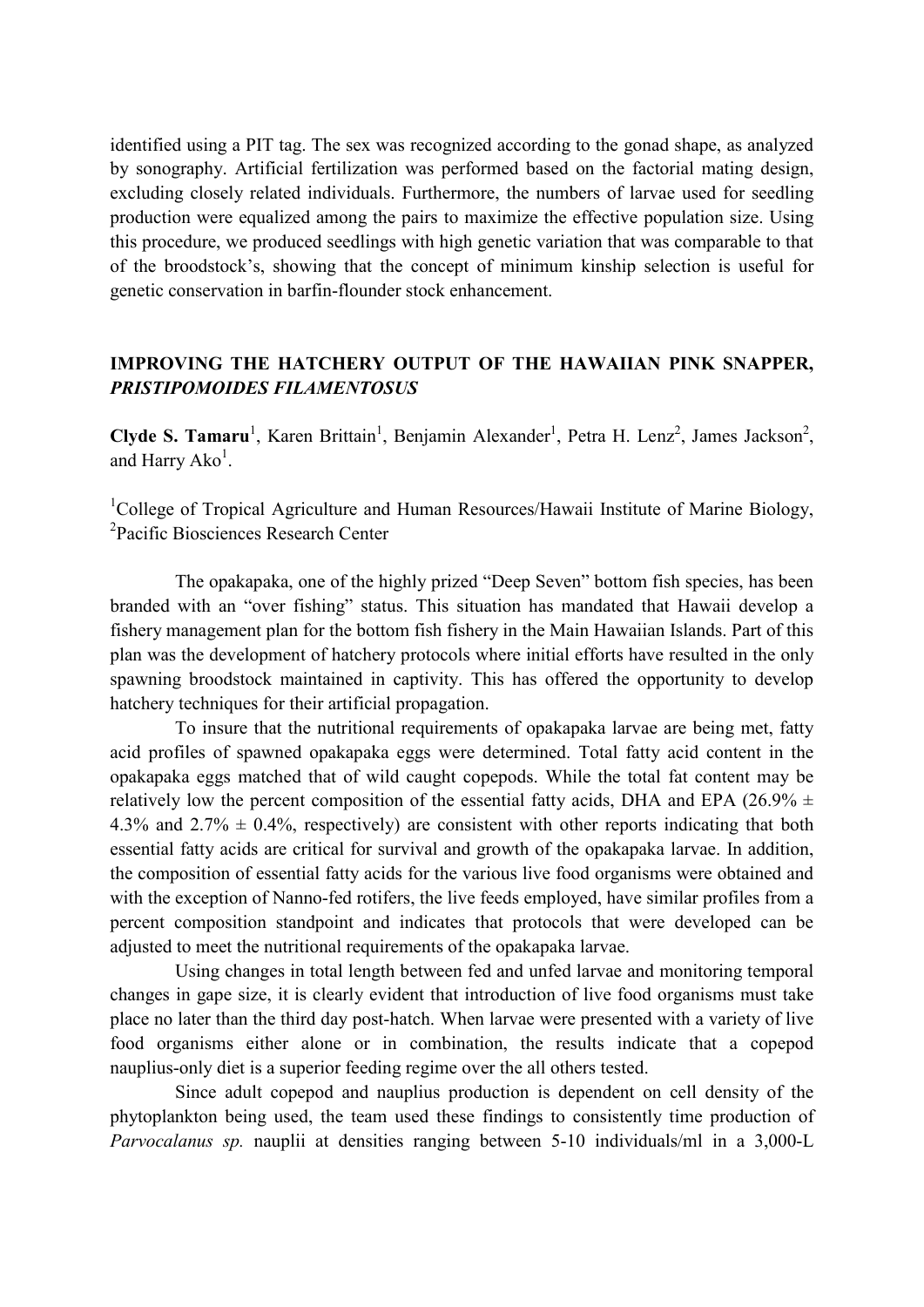identified using a PIT tag. The sex was recognized according to the gonad shape, as analyzed by sonography. Artificial fertilization was performed based on the factorial mating design, excluding closely related individuals. Furthermore, the numbers of larvae used for seedling production were equalized among the pairs to maximize the effective population size. Using this procedure, we produced seedlings with high genetic variation that was comparable to that of the broodstock's, showing that the concept of minimum kinship selection is useful for genetic conservation in barfin-flounder stock enhancement.

#### **IMPROVING THE HATCHERY OUTPUT OF THE HAWAIIAN PINK SNAPPER,**  *PRISTIPOMOIDES FILAMENTOSUS*

Clyde S. Tamaru<sup>1</sup>, Karen Brittain<sup>1</sup>, Benjamin Alexander<sup>1</sup>, Petra H. Lenz<sup>2</sup>, James Jackson<sup>2</sup>, and Harry  $Ako<sup>1</sup>$ .

<sup>1</sup>College of Tropical Agriculture and Human Resources/Hawaii Institute of Marine Biology, 2 Pacific Biosciences Research Center

The opakapaka, one of the highly prized "Deep Seven" bottom fish species, has been branded with an "over fishing" status. This situation has mandated that Hawaii develop a fishery management plan for the bottom fish fishery in the Main Hawaiian Islands. Part of this plan was the development of hatchery protocols where initial efforts have resulted in the only spawning broodstock maintained in captivity. This has offered the opportunity to develop hatchery techniques for their artificial propagation.

To insure that the nutritional requirements of opakapaka larvae are being met, fatty acid profiles of spawned opakapaka eggs were determined. Total fatty acid content in the opakapaka eggs matched that of wild caught copepods. While the total fat content may be relatively low the percent composition of the essential fatty acids, DHA and EPA (26.9%  $\pm$ 4.3% and 2.7%  $\pm$  0.4%, respectively) are consistent with other reports indicating that both essential fatty acids are critical for survival and growth of the opakapaka larvae. In addition, the composition of essential fatty acids for the various live food organisms were obtained and with the exception of Nanno-fed rotifers, the live feeds employed, have similar profiles from a percent composition standpoint and indicates that protocols that were developed can be adjusted to meet the nutritional requirements of the opakapaka larvae.

Using changes in total length between fed and unfed larvae and monitoring temporal changes in gape size, it is clearly evident that introduction of live food organisms must take place no later than the third day post-hatch. When larvae were presented with a variety of live food organisms either alone or in combination, the results indicate that a copepod nauplius-only diet is a superior feeding regime over the all others tested.

Since adult copepod and nauplius production is dependent on cell density of the phytoplankton being used, the team used these findings to consistently time production of *Parvocalanus sp.* nauplii at densities ranging between 5-10 individuals/ml in a 3,000-L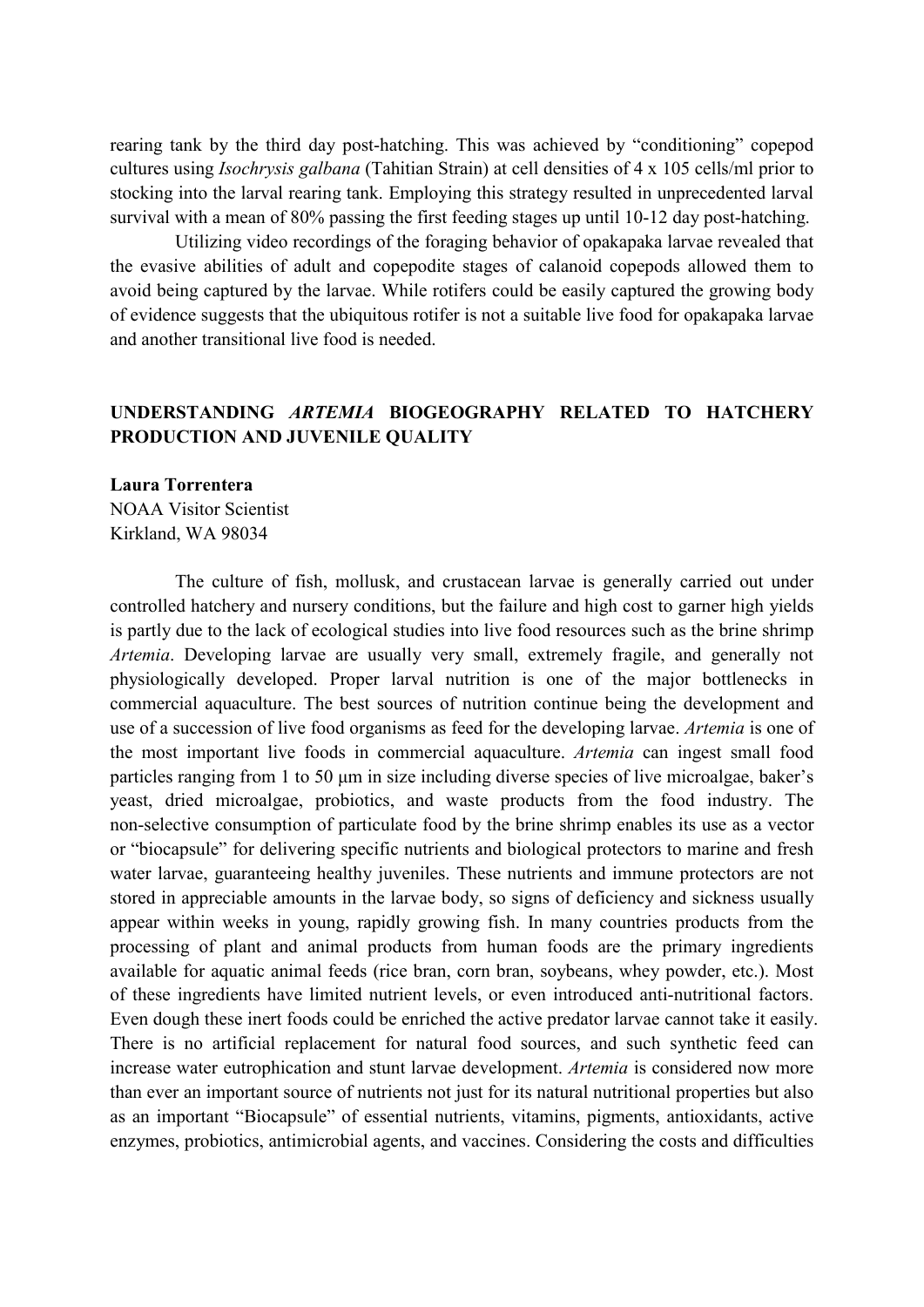rearing tank by the third day post-hatching. This was achieved by "conditioning" copepod cultures using *Isochrysis galbana* (Tahitian Strain) at cell densities of 4 x 105 cells/ml prior to stocking into the larval rearing tank. Employing this strategy resulted in unprecedented larval survival with a mean of 80% passing the first feeding stages up until 10-12 day post-hatching.

Utilizing video recordings of the foraging behavior of opakapaka larvae revealed that the evasive abilities of adult and copepodite stages of calanoid copepods allowed them to avoid being captured by the larvae. While rotifers could be easily captured the growing body of evidence suggests that the ubiquitous rotifer is not a suitable live food for opakapaka larvae and another transitional live food is needed.

#### **UNDERSTANDING** *ARTEMIA* **BIOGEOGRAPHY RELATED TO HATCHERY PRODUCTION AND JUVENILE QUALITY**

# **Laura Torrentera**  NOAA Visitor Scientist

Kirkland, WA 98034

The culture of fish, mollusk, and crustacean larvae is generally carried out under controlled hatchery and nursery conditions, but the failure and high cost to garner high yields is partly due to the lack of ecological studies into live food resources such as the brine shrimp *Artemia*. Developing larvae are usually very small, extremely fragile, and generally not physiologically developed. Proper larval nutrition is one of the major bottlenecks in commercial aquaculture. The best sources of nutrition continue being the development and use of a succession of live food organisms as feed for the developing larvae. *Artemia* is one of the most important live foods in commercial aquaculture. *Artemia* can ingest small food particles ranging from 1 to 50 µm in size including diverse species of live microalgae, baker's yeast, dried microalgae, probiotics, and waste products from the food industry. The non-selective consumption of particulate food by the brine shrimp enables its use as a vector or "biocapsule" for delivering specific nutrients and biological protectors to marine and fresh water larvae, guaranteeing healthy juveniles. These nutrients and immune protectors are not stored in appreciable amounts in the larvae body, so signs of deficiency and sickness usually appear within weeks in young, rapidly growing fish. In many countries products from the processing of plant and animal products from human foods are the primary ingredients available for aquatic animal feeds (rice bran, corn bran, soybeans, whey powder, etc.). Most of these ingredients have limited nutrient levels, or even introduced anti-nutritional factors. Even dough these inert foods could be enriched the active predator larvae cannot take it easily. There is no artificial replacement for natural food sources, and such synthetic feed can increase water eutrophication and stunt larvae development. *Artemia* is considered now more than ever an important source of nutrients not just for its natural nutritional properties but also as an important "Biocapsule" of essential nutrients, vitamins, pigments, antioxidants, active enzymes, probiotics, antimicrobial agents, and vaccines. Considering the costs and difficulties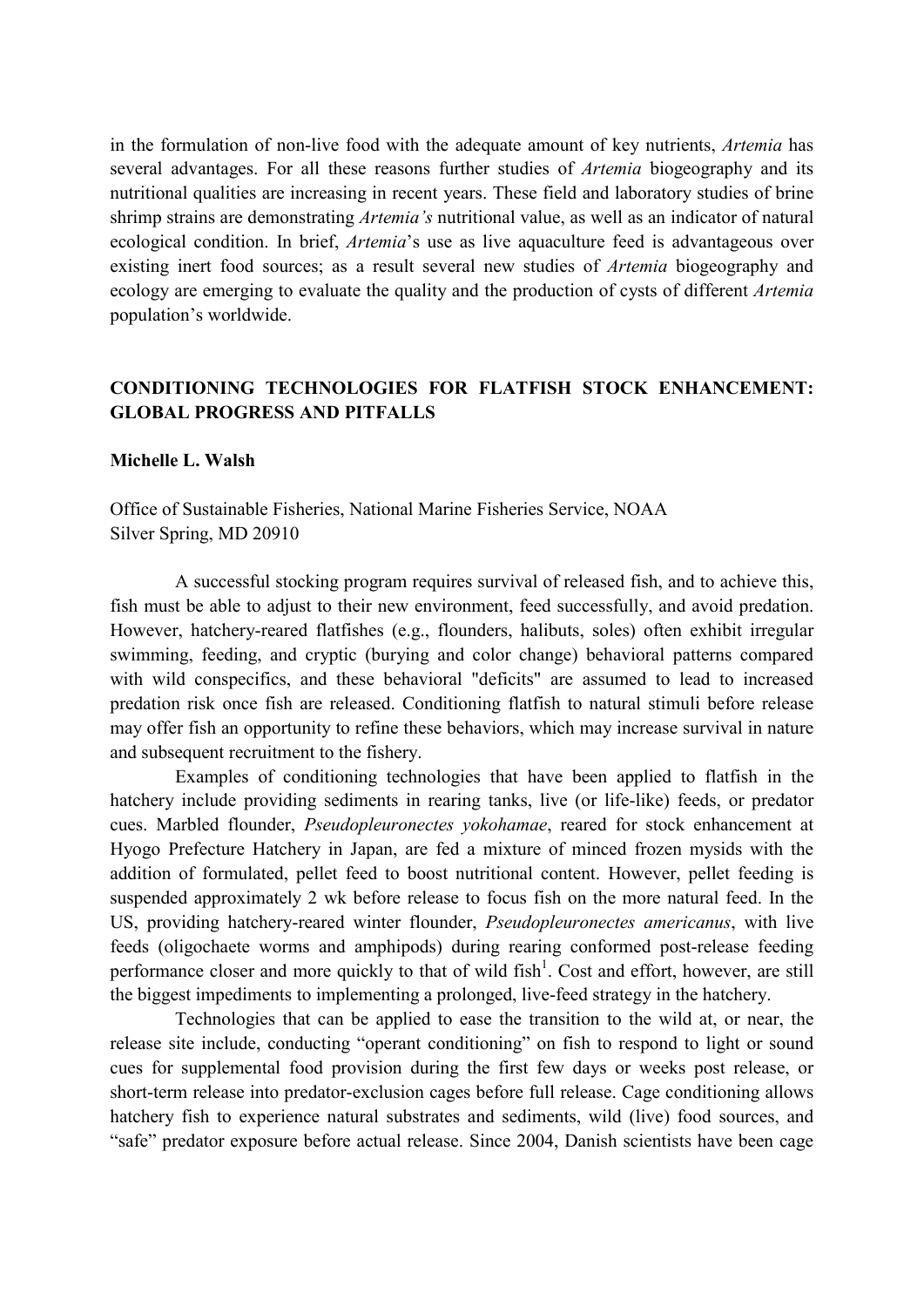in the formulation of non-live food with the adequate amount of key nutrients, *Artemia* has several advantages. For all these reasons further studies of *Artemia* biogeography and its nutritional qualities are increasing in recent years. These field and laboratory studies of brine shrimp strains are demonstrating *Artemia's* nutritional value, as well as an indicator of natural ecological condition. In brief, *Artemia*'s use as live aquaculture feed is advantageous over existing inert food sources; as a result several new studies of *Artemia* biogeography and ecology are emerging to evaluate the quality and the production of cysts of different *Artemia*  population's worldwide.

# **CONDITIONING TECHNOLOGIES FOR FLATFISH STOCK ENHANCEMENT: GLOBAL PROGRESS AND PITFALLS**

#### **Michelle L. Walsh**

Office of Sustainable Fisheries, National Marine Fisheries Service, NOAA Silver Spring, MD 20910

A successful stocking program requires survival of released fish, and to achieve this, fish must be able to adjust to their new environment, feed successfully, and avoid predation. However, hatchery-reared flatfishes (e.g., flounders, halibuts, soles) often exhibit irregular swimming, feeding, and cryptic (burying and color change) behavioral patterns compared with wild conspecifics, and these behavioral "deficits" are assumed to lead to increased predation risk once fish are released. Conditioning flatfish to natural stimuli before release may offer fish an opportunity to refine these behaviors, which may increase survival in nature and subsequent recruitment to the fishery.

Examples of conditioning technologies that have been applied to flatfish in the hatchery include providing sediments in rearing tanks, live (or life-like) feeds, or predator cues. Marbled flounder, *Pseudopleuronectes yokohamae*, reared for stock enhancement at Hyogo Prefecture Hatchery in Japan, are fed a mixture of minced frozen mysids with the addition of formulated, pellet feed to boost nutritional content. However, pellet feeding is suspended approximately 2 wk before release to focus fish on the more natural feed. In the US, providing hatchery-reared winter flounder, *Pseudopleuronectes americanus*, with live feeds (oligochaete worms and amphipods) during rearing conformed post-release feeding performance closer and more quickly to that of wild fish<sup>1</sup>. Cost and effort, however, are still the biggest impediments to implementing a prolonged, live-feed strategy in the hatchery.

Technologies that can be applied to ease the transition to the wild at, or near, the release site include, conducting "operant conditioning" on fish to respond to light or sound cues for supplemental food provision during the first few days or weeks post release, or short-term release into predator-exclusion cages before full release. Cage conditioning allows hatchery fish to experience natural substrates and sediments, wild (live) food sources, and "safe" predator exposure before actual release. Since 2004, Danish scientists have been cage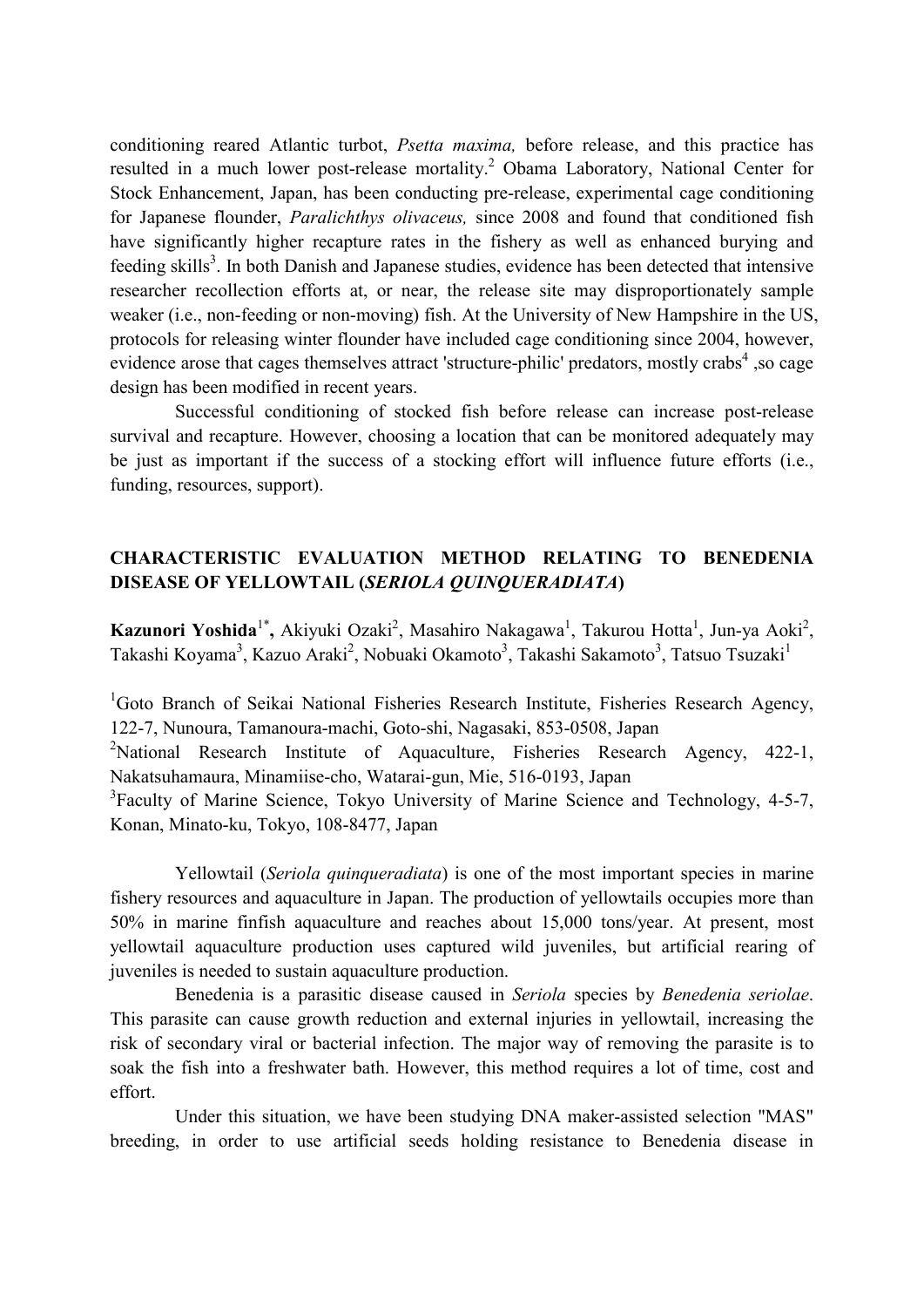conditioning reared Atlantic turbot, *Psetta maxima,* before release, and this practice has resulted in a much lower post-release mortality.<sup>2</sup> Obama Laboratory, National Center for Stock Enhancement, Japan, has been conducting pre-release, experimental cage conditioning for Japanese flounder, *Paralichthys olivaceus,* since 2008 and found that conditioned fish have significantly higher recapture rates in the fishery as well as enhanced burying and feeding skills<sup>3</sup>. In both Danish and Japanese studies, evidence has been detected that intensive researcher recollection efforts at, or near, the release site may disproportionately sample weaker (i.e., non-feeding or non-moving) fish. At the University of New Hampshire in the US, protocols for releasing winter flounder have included cage conditioning since 2004, however, evidence arose that cages themselves attract 'structure-philic' predators, mostly crabs<sup>4</sup>, so cage design has been modified in recent years.

Successful conditioning of stocked fish before release can increase post-release survival and recapture. However, choosing a location that can be monitored adequately may be just as important if the success of a stocking effort will influence future efforts (i.e., funding, resources, support).

# **CHARACTERISTIC EVALUATION METHOD RELATING TO BENEDENIA DISEASE OF YELLOWTAIL (***SERIOLA QUINQUERADIATA***)**

Kazunori Yoshida<sup>1\*</sup>, Akiyuki Ozaki<sup>2</sup>, Masahiro Nakagawa<sup>1</sup>, Takurou Hotta<sup>1</sup>, Jun-ya Aoki<sup>2</sup>, Takashi Koyama<sup>3</sup>, Kazuo Araki<sup>2</sup>, Nobuaki Okamoto<sup>3</sup>, Takashi Sakamoto<sup>3</sup>, Tatsuo Tsuzaki<sup>1</sup>

<sup>1</sup>Goto Branch of Seikai National Fisheries Research Institute, Fisheries Research Agency, 122-7, Nunoura, Tamanoura-machi, Goto-shi, Nagasaki, 853-0508, Japan

<sup>2</sup>National Research Institute of Aquaculture, Fisheries Research Agency, 422-1, Nakatsuhamaura, Minamiise-cho, Watarai-gun, Mie, 516-0193, Japan

<sup>3</sup>Faculty of Marine Science, Tokyo University of Marine Science and Technology, 4-5-7, Konan, Minato-ku, Tokyo, 108-8477, Japan

Yellowtail (*Seriola quinqueradiata*) is one of the most important species in marine fishery resources and aquaculture in Japan. The production of yellowtails occupies more than 50% in marine finfish aquaculture and reaches about 15,000 tons/year. At present, most yellowtail aquaculture production uses captured wild juveniles, but artificial rearing of juveniles is needed to sustain aquaculture production.

Benedenia is a parasitic disease caused in *Seriola* species by *Benedenia seriolae*. This parasite can cause growth reduction and external injuries in yellowtail, increasing the risk of secondary viral or bacterial infection. The major way of removing the parasite is to soak the fish into a freshwater bath. However, this method requires a lot of time, cost and effort.

Under this situation, we have been studying DNA maker-assisted selection "MAS" breeding, in order to use artificial seeds holding resistance to Benedenia disease in